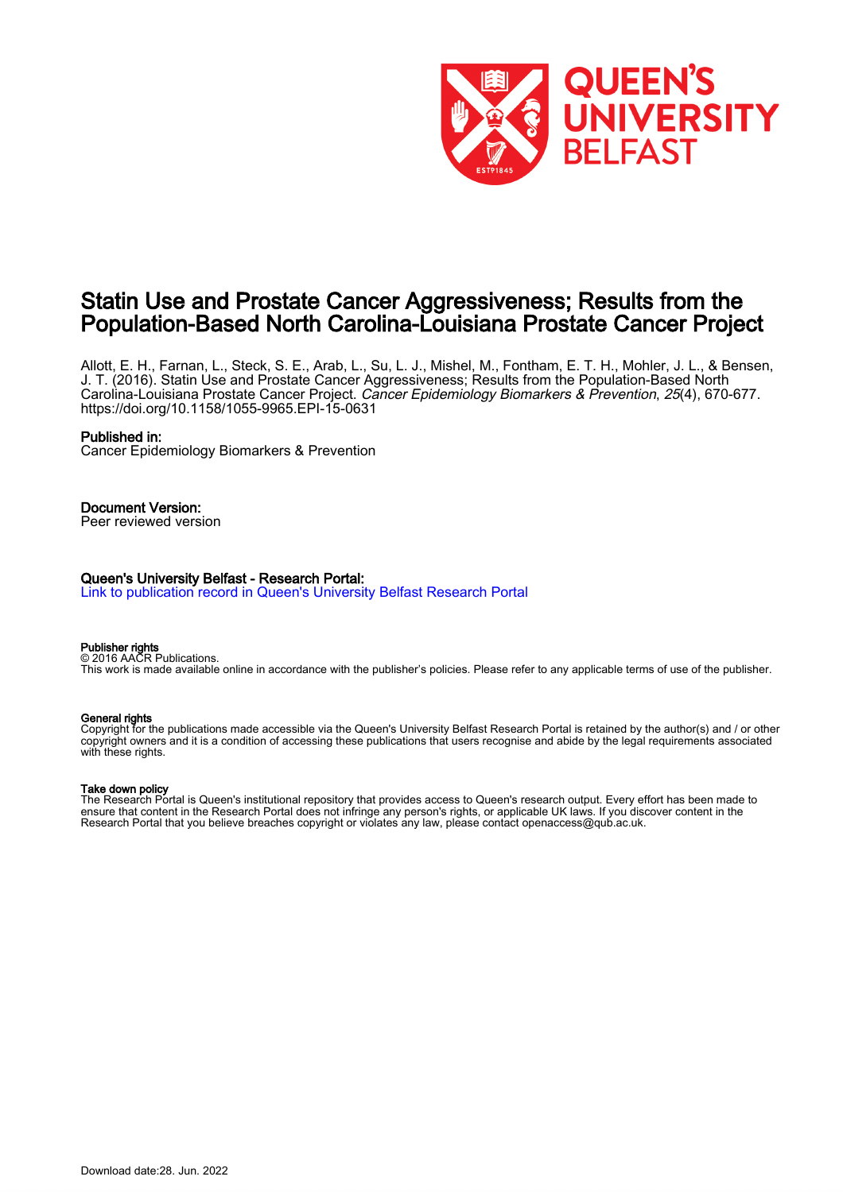

## Statin Use and Prostate Cancer Aggressiveness; Results from the Population-Based North Carolina-Louisiana Prostate Cancer Project

Allott, E. H., Farnan, L., Steck, S. E., Arab, L., Su, L. J., Mishel, M., Fontham, E. T. H., Mohler, J. L., & Bensen, J. T. (2016). Statin Use and Prostate Cancer Aggressiveness; Results from the Population-Based North Carolina-Louisiana Prostate Cancer Project. Cancer Epidemiology Biomarkers & Prevention, 25(4), 670-677. <https://doi.org/10.1158/1055-9965.EPI-15-0631>

#### Published in:

Cancer Epidemiology Biomarkers & Prevention

## Document Version:

Peer reviewed version

#### Queen's University Belfast - Research Portal:

[Link to publication record in Queen's University Belfast Research Portal](https://pure.qub.ac.uk/en/publications/690a3453-3184-47f6-a490-23d97ee097e6)

#### Publisher rights

© 2016 AACR Publications. This work is made available online in accordance with the publisher's policies. Please refer to any applicable terms of use of the publisher.

#### General rights

Copyright for the publications made accessible via the Queen's University Belfast Research Portal is retained by the author(s) and / or other copyright owners and it is a condition of accessing these publications that users recognise and abide by the legal requirements associated with these rights.

#### Take down policy

The Research Portal is Queen's institutional repository that provides access to Queen's research output. Every effort has been made to ensure that content in the Research Portal does not infringe any person's rights, or applicable UK laws. If you discover content in the Research Portal that you believe breaches copyright or violates any law, please contact openaccess@qub.ac.uk.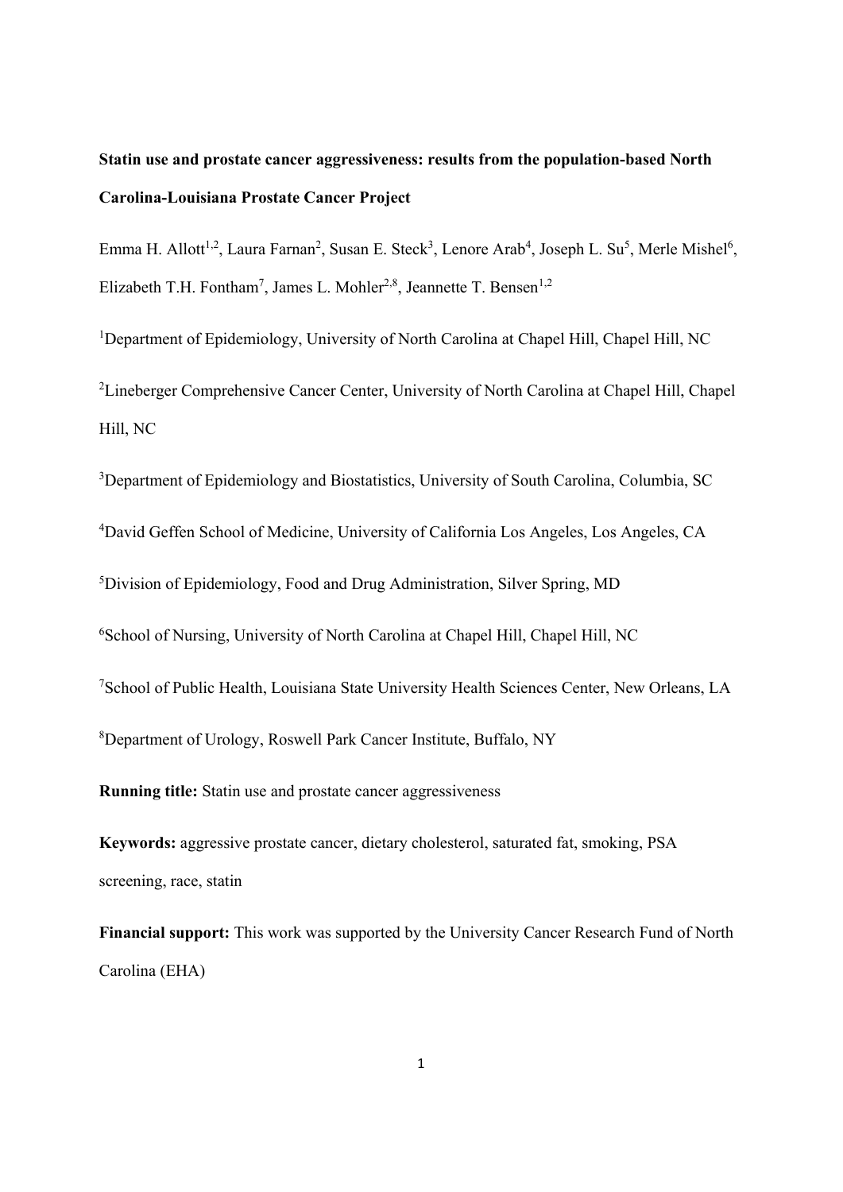# **Statin use and prostate cancer aggressiveness: results from the population-based North Carolina-Louisiana Prostate Cancer Project**

Emma H. Allott<sup>1,2</sup>, Laura Farnan<sup>2</sup>, Susan E. Steck<sup>3</sup>, Lenore Arab<sup>4</sup>, Joseph L. Su<sup>5</sup>, Merle Mishel<sup>6</sup>, Elizabeth T.H. Fontham<sup>7</sup>, James L. Mohler<sup>2,8</sup>, Jeannette T. Bensen<sup>1,2</sup>

<sup>1</sup>Department of Epidemiology, University of North Carolina at Chapel Hill, Chapel Hill, NC <sup>2</sup> Lineberger Comprehensive Cancer Center, University of North Carolina at Chapel Hill, Chapel Hill, NC

<sup>3</sup>Department of Epidemiology and Biostatistics, University of South Carolina, Columbia, SC

4 David Geffen School of Medicine, University of California Los Angeles, Los Angeles, CA

5 Division of Epidemiology, Food and Drug Administration, Silver Spring, MD

6 School of Nursing, University of North Carolina at Chapel Hill, Chapel Hill, NC

7 School of Public Health, Louisiana State University Health Sciences Center, New Orleans, LA

8 Department of Urology, Roswell Park Cancer Institute, Buffalo, NY

**Running title:** Statin use and prostate cancer aggressiveness

**Keywords:** aggressive prostate cancer, dietary cholesterol, saturated fat, smoking, PSA screening, race, statin

**Financial support:** This work was supported by the University Cancer Research Fund of North Carolina (EHA)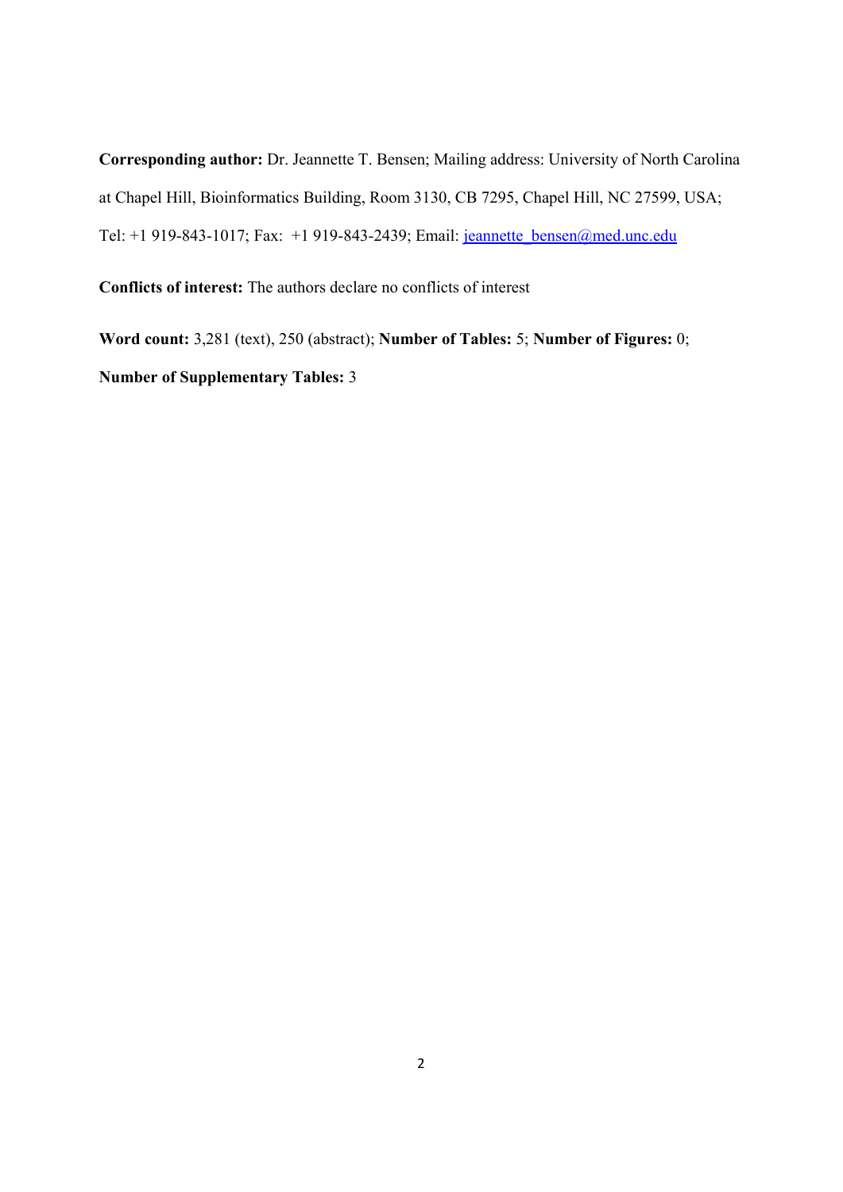**Corresponding author:** Dr. Jeannette T. Bensen; Mailing address: University of North Carolina at Chapel Hill, Bioinformatics Building, Room 3130, CB 7295, Chapel Hill, NC 27599, USA; Tel: +1 919-843-1017; Fax: +1 919-843-2439; Email: jeannette\_bensen@med.unc.edu

**Conflicts of interest:** The authors declare no conflicts of interest

**Word count:** 3,281 (text), 250 (abstract); **Number of Tables:** 5; **Number of Figures:** 0; **Number of Supplementary Tables:** 3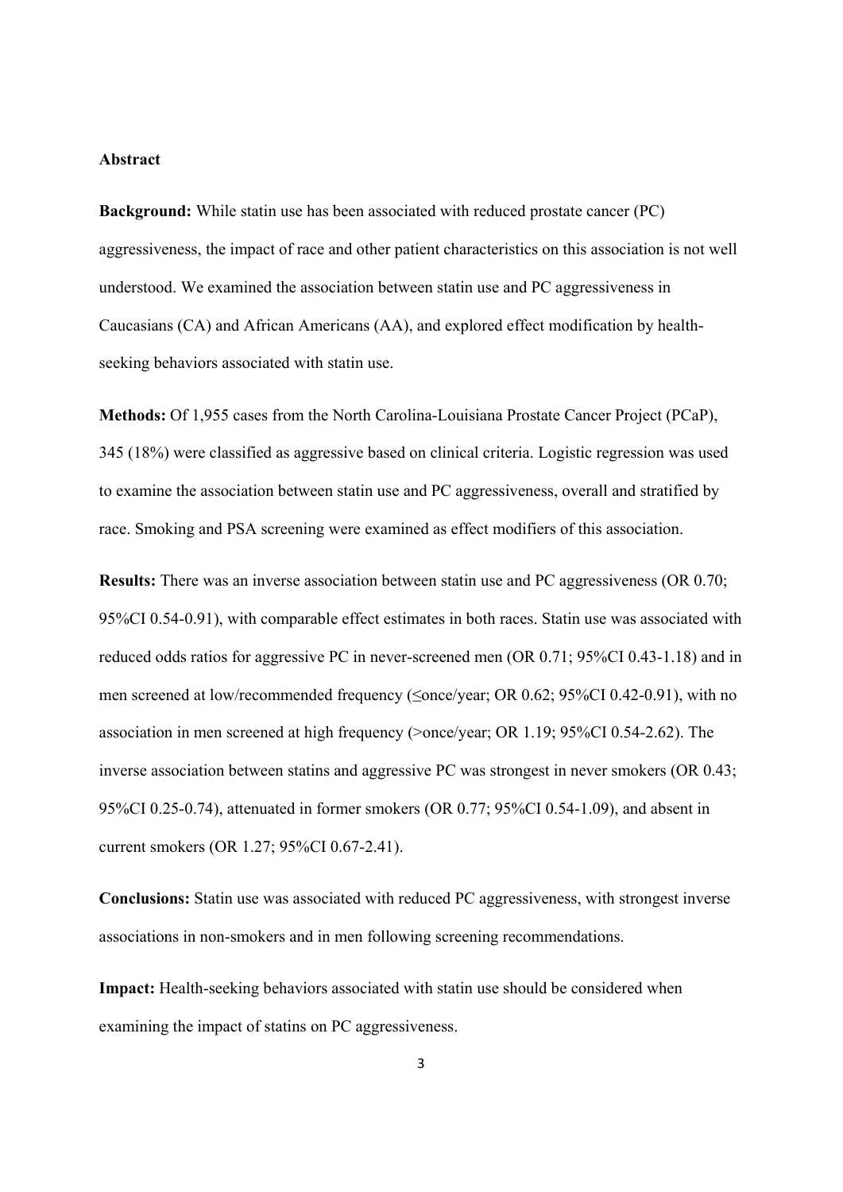## **Abstract**

**Background:** While statin use has been associated with reduced prostate cancer (PC) aggressiveness, the impact of race and other patient characteristics on this association is not well understood. We examined the association between statin use and PC aggressiveness in Caucasians (CA) and African Americans (AA), and explored effect modification by healthseeking behaviors associated with statin use.

**Methods:** Of 1,955 cases from the North Carolina-Louisiana Prostate Cancer Project (PCaP), 345 (18%) were classified as aggressive based on clinical criteria. Logistic regression was used to examine the association between statin use and PC aggressiveness, overall and stratified by race. Smoking and PSA screening were examined as effect modifiers of this association.

**Results:** There was an inverse association between statin use and PC aggressiveness (OR 0.70; 95%CI 0.54-0.91), with comparable effect estimates in both races. Statin use was associated with reduced odds ratios for aggressive PC in never-screened men (OR 0.71; 95%CI 0.43-1.18) and in men screened at low/recommended frequency ( $\leq$ once/year; OR 0.62; 95%CI 0.42-0.91), with no association in men screened at high frequency (>once/year; OR 1.19; 95%CI 0.54-2.62). The inverse association between statins and aggressive PC was strongest in never smokers (OR 0.43; 95%CI 0.25-0.74), attenuated in former smokers (OR 0.77; 95%CI 0.54-1.09), and absent in current smokers (OR 1.27; 95%CI 0.67-2.41).

**Conclusions:** Statin use was associated with reduced PC aggressiveness, with strongest inverse associations in non-smokers and in men following screening recommendations.

**Impact:** Health-seeking behaviors associated with statin use should be considered when examining the impact of statins on PC aggressiveness.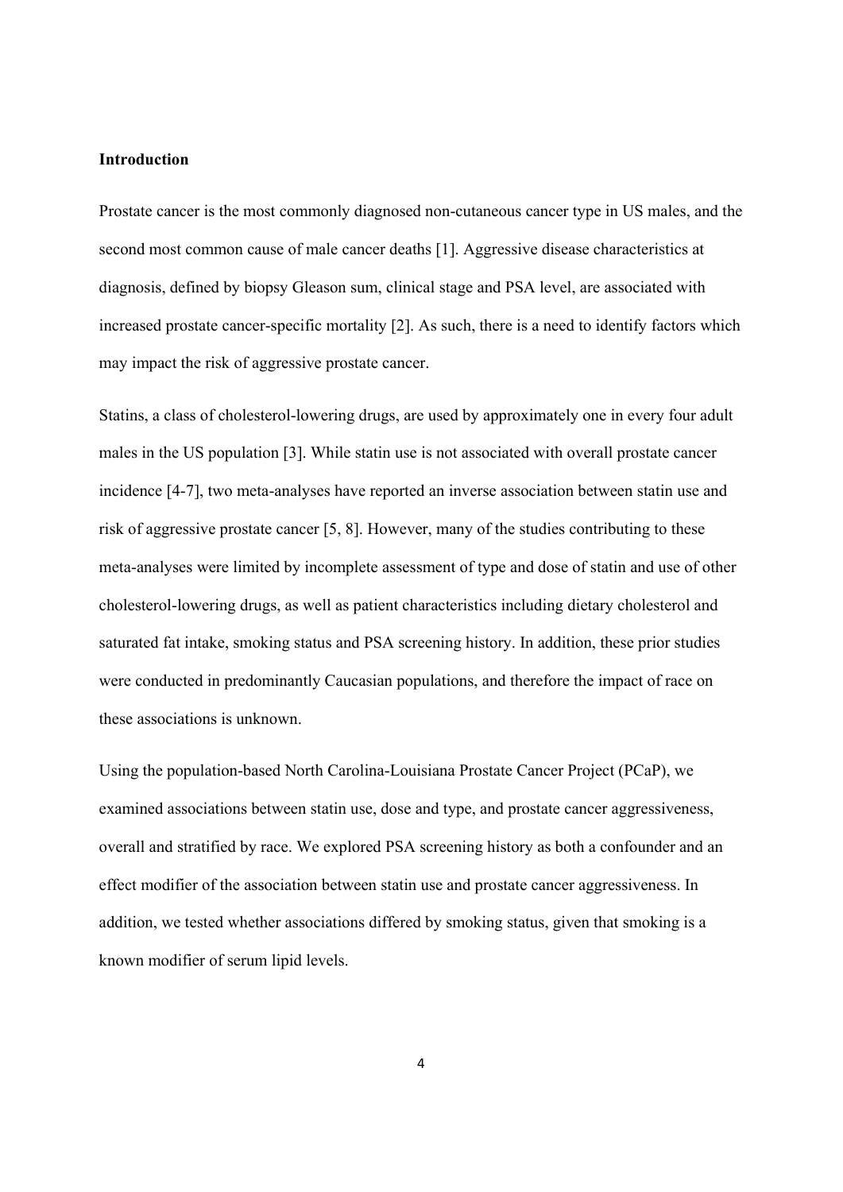## **Introduction**

Prostate cancer is the most commonly diagnosed non-cutaneous cancer type in US males, and the second most common cause of male cancer deaths [1]. Aggressive disease characteristics at diagnosis, defined by biopsy Gleason sum, clinical stage and PSA level, are associated with increased prostate cancer-specific mortality [2]. As such, there is a need to identify factors which may impact the risk of aggressive prostate cancer.

Statins, a class of cholesterol-lowering drugs, are used by approximately one in every four adult males in the US population [3]. While statin use is not associated with overall prostate cancer incidence [4-7], two meta-analyses have reported an inverse association between statin use and risk of aggressive prostate cancer [5, 8]. However, many of the studies contributing to these meta-analyses were limited by incomplete assessment of type and dose of statin and use of other cholesterol-lowering drugs, as well as patient characteristics including dietary cholesterol and saturated fat intake, smoking status and PSA screening history. In addition, these prior studies were conducted in predominantly Caucasian populations, and therefore the impact of race on these associations is unknown.

Using the population-based North Carolina-Louisiana Prostate Cancer Project (PCaP), we examined associations between statin use, dose and type, and prostate cancer aggressiveness, overall and stratified by race. We explored PSA screening history as both a confounder and an effect modifier of the association between statin use and prostate cancer aggressiveness. In addition, we tested whether associations differed by smoking status, given that smoking is a known modifier of serum lipid levels.

4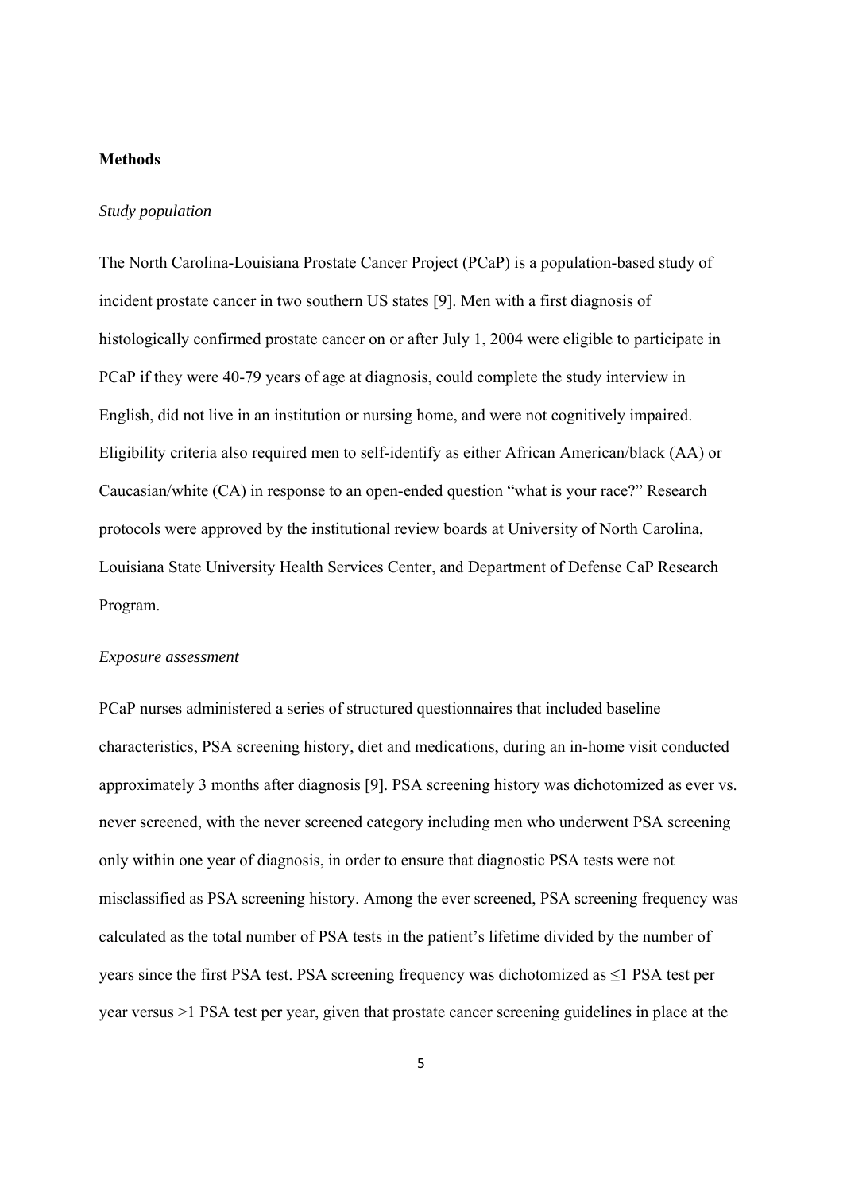## **Methods**

## *Study population*

The North Carolina-Louisiana Prostate Cancer Project (PCaP) is a population-based study of incident prostate cancer in two southern US states [9]. Men with a first diagnosis of histologically confirmed prostate cancer on or after July 1, 2004 were eligible to participate in PCaP if they were 40-79 years of age at diagnosis, could complete the study interview in English, did not live in an institution or nursing home, and were not cognitively impaired. Eligibility criteria also required men to self-identify as either African American/black (AA) or Caucasian/white (CA) in response to an open-ended question "what is your race?" Research protocols were approved by the institutional review boards at University of North Carolina, Louisiana State University Health Services Center, and Department of Defense CaP Research Program.

#### *Exposure assessment*

PCaP nurses administered a series of structured questionnaires that included baseline characteristics, PSA screening history, diet and medications, during an in-home visit conducted approximately 3 months after diagnosis [9]. PSA screening history was dichotomized as ever vs. never screened, with the never screened category including men who underwent PSA screening only within one year of diagnosis, in order to ensure that diagnostic PSA tests were not misclassified as PSA screening history. Among the ever screened, PSA screening frequency was calculated as the total number of PSA tests in the patient's lifetime divided by the number of years since the first PSA test. PSA screening frequency was dichotomized as ≤1 PSA test per year versus >1 PSA test per year, given that prostate cancer screening guidelines in place at the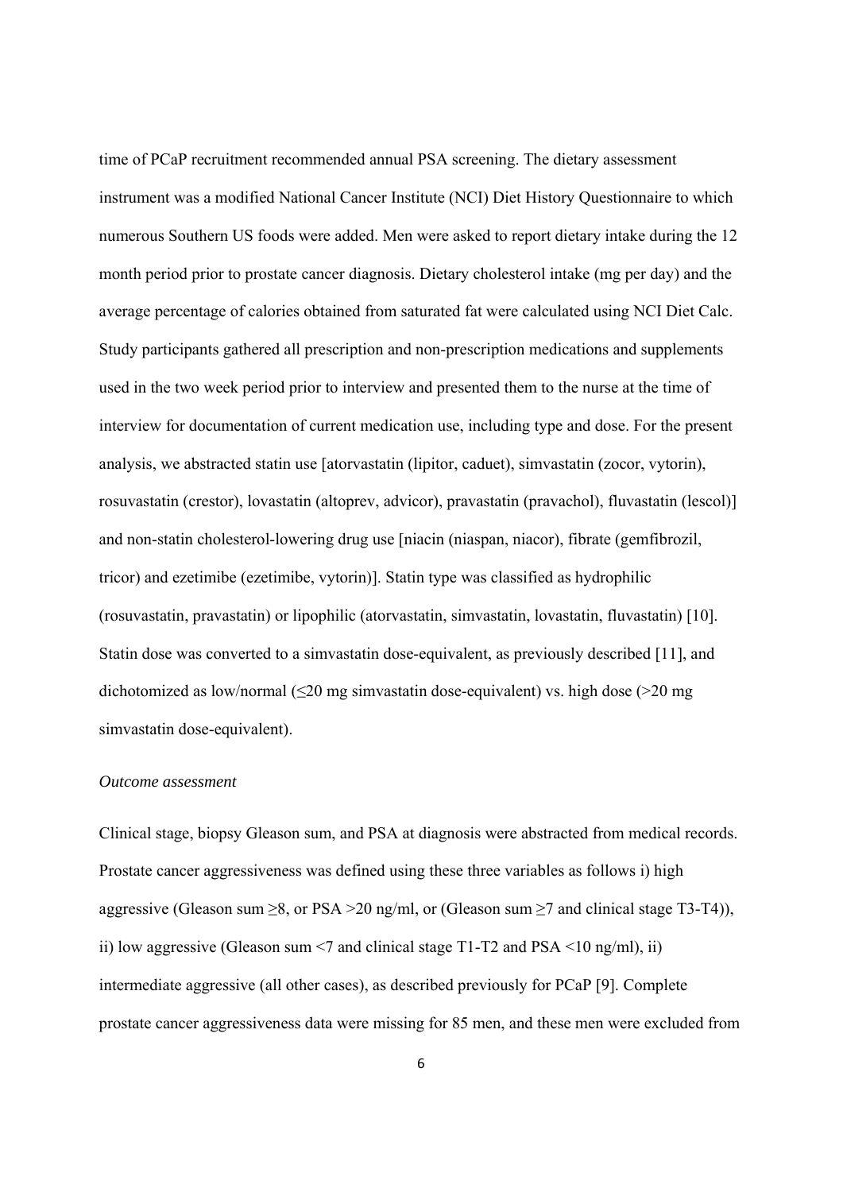time of PCaP recruitment recommended annual PSA screening. The dietary assessment instrument was a modified National Cancer Institute (NCI) Diet History Questionnaire to which numerous Southern US foods were added. Men were asked to report dietary intake during the 12 month period prior to prostate cancer diagnosis. Dietary cholesterol intake (mg per day) and the average percentage of calories obtained from saturated fat were calculated using NCI Diet Calc. Study participants gathered all prescription and non-prescription medications and supplements used in the two week period prior to interview and presented them to the nurse at the time of interview for documentation of current medication use, including type and dose. For the present analysis, we abstracted statin use [atorvastatin (lipitor, caduet), simvastatin (zocor, vytorin), rosuvastatin (crestor), lovastatin (altoprev, advicor), pravastatin (pravachol), fluvastatin (lescol)] and non-statin cholesterol-lowering drug use [niacin (niaspan, niacor), fibrate (gemfibrozil, tricor) and ezetimibe (ezetimibe, vytorin)]. Statin type was classified as hydrophilic (rosuvastatin, pravastatin) or lipophilic (atorvastatin, simvastatin, lovastatin, fluvastatin) [10]. Statin dose was converted to a simvastatin dose-equivalent, as previously described [11], and dichotomized as low/normal ( $\leq$ 20 mg simvastatin dose-equivalent) vs. high dose ( $>$ 20 mg simvastatin dose-equivalent).

#### *Outcome assessment*

Clinical stage, biopsy Gleason sum, and PSA at diagnosis were abstracted from medical records. Prostate cancer aggressiveness was defined using these three variables as follows i) high aggressive (Gleason sum  $\geq 8$ , or PSA > 20 ng/ml, or (Gleason sum  $\geq 7$  and clinical stage T3-T4)), ii) low aggressive (Gleason sum  $\leq$  7 and clinical stage T1-T2 and PSA  $\leq$  10 ng/ml), ii) intermediate aggressive (all other cases), as described previously for PCaP [9]. Complete prostate cancer aggressiveness data were missing for 85 men, and these men were excluded from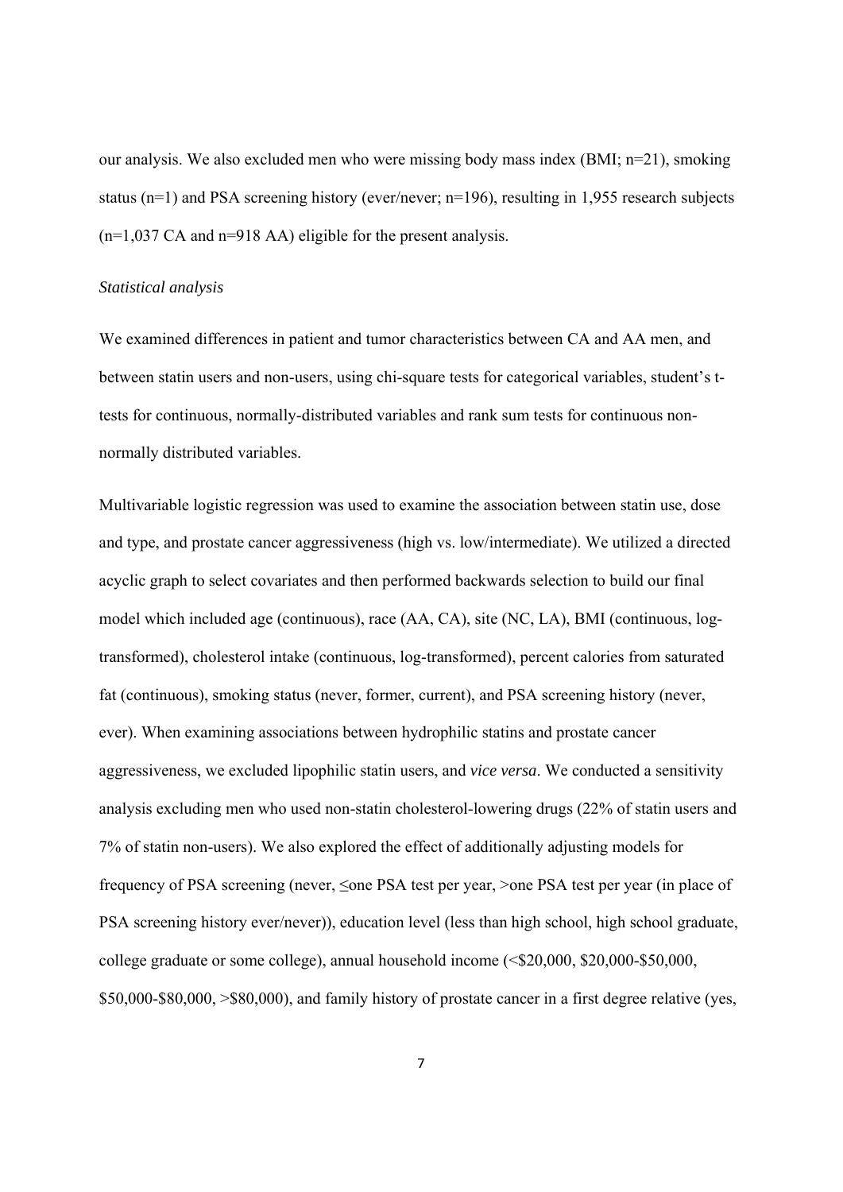our analysis. We also excluded men who were missing body mass index (BMI;  $n=21$ ), smoking status ( $n=1$ ) and PSA screening history (ever/never;  $n=196$ ), resulting in 1,955 research subjects (n=1,037 CA and n=918 AA) eligible for the present analysis.

#### *Statistical analysis*

We examined differences in patient and tumor characteristics between CA and AA men, and between statin users and non-users, using chi-square tests for categorical variables, student's ttests for continuous, normally-distributed variables and rank sum tests for continuous nonnormally distributed variables.

Multivariable logistic regression was used to examine the association between statin use, dose and type, and prostate cancer aggressiveness (high vs. low/intermediate). We utilized a directed acyclic graph to select covariates and then performed backwards selection to build our final model which included age (continuous), race (AA, CA), site (NC, LA), BMI (continuous, logtransformed), cholesterol intake (continuous, log-transformed), percent calories from saturated fat (continuous), smoking status (never, former, current), and PSA screening history (never, ever). When examining associations between hydrophilic statins and prostate cancer aggressiveness, we excluded lipophilic statin users, and *vice versa*. We conducted a sensitivity analysis excluding men who used non-statin cholesterol-lowering drugs (22% of statin users and 7% of statin non-users). We also explored the effect of additionally adjusting models for frequency of PSA screening (never, ≤one PSA test per year, >one PSA test per year (in place of PSA screening history ever/never)), education level (less than high school, high school graduate, college graduate or some college), annual household income (<\$20,000, \$20,000-\$50,000, \$50,000-\$80,000, >\$80,000), and family history of prostate cancer in a first degree relative (yes,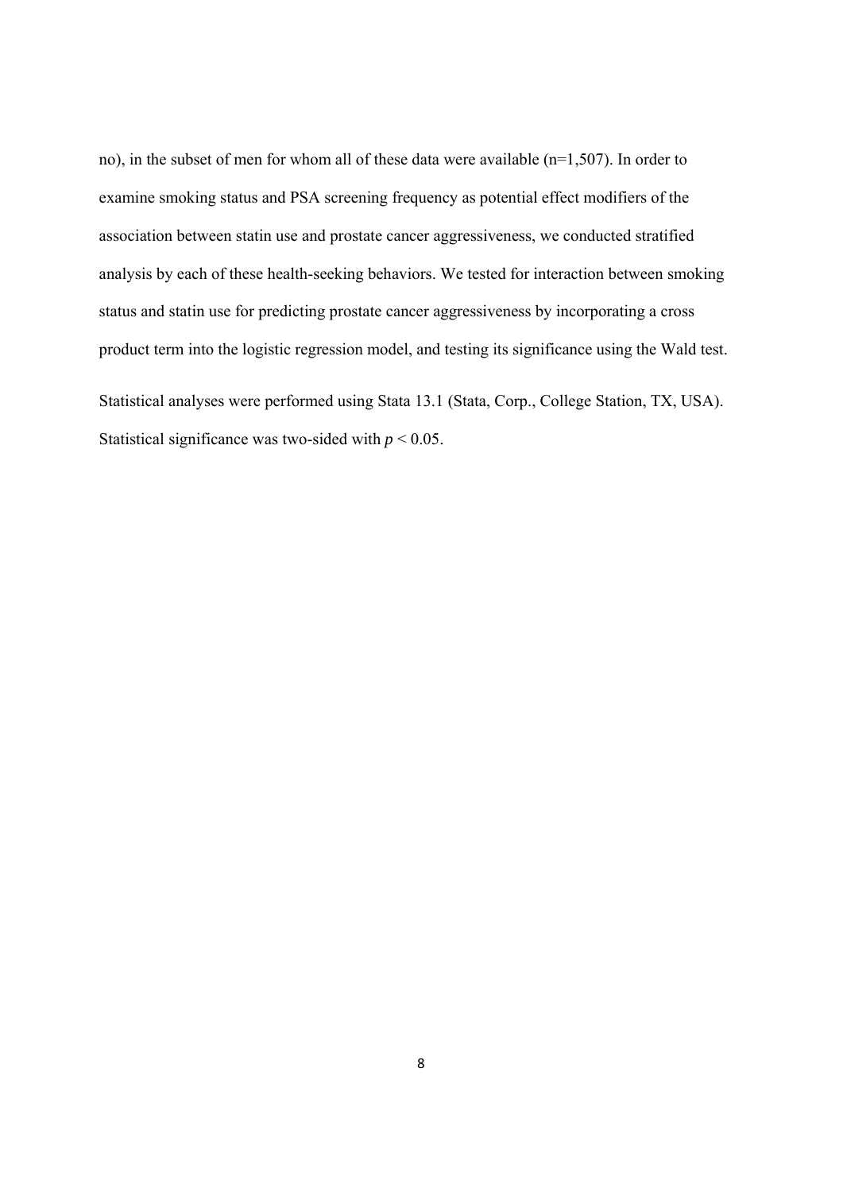no), in the subset of men for whom all of these data were available (n=1,507). In order to examine smoking status and PSA screening frequency as potential effect modifiers of the association between statin use and prostate cancer aggressiveness, we conducted stratified analysis by each of these health-seeking behaviors. We tested for interaction between smoking status and statin use for predicting prostate cancer aggressiveness by incorporating a cross product term into the logistic regression model, and testing its significance using the Wald test. Statistical analyses were performed using Stata 13.1 (Stata, Corp., College Station, TX, USA). Statistical significance was two-sided with  $p < 0.05$ .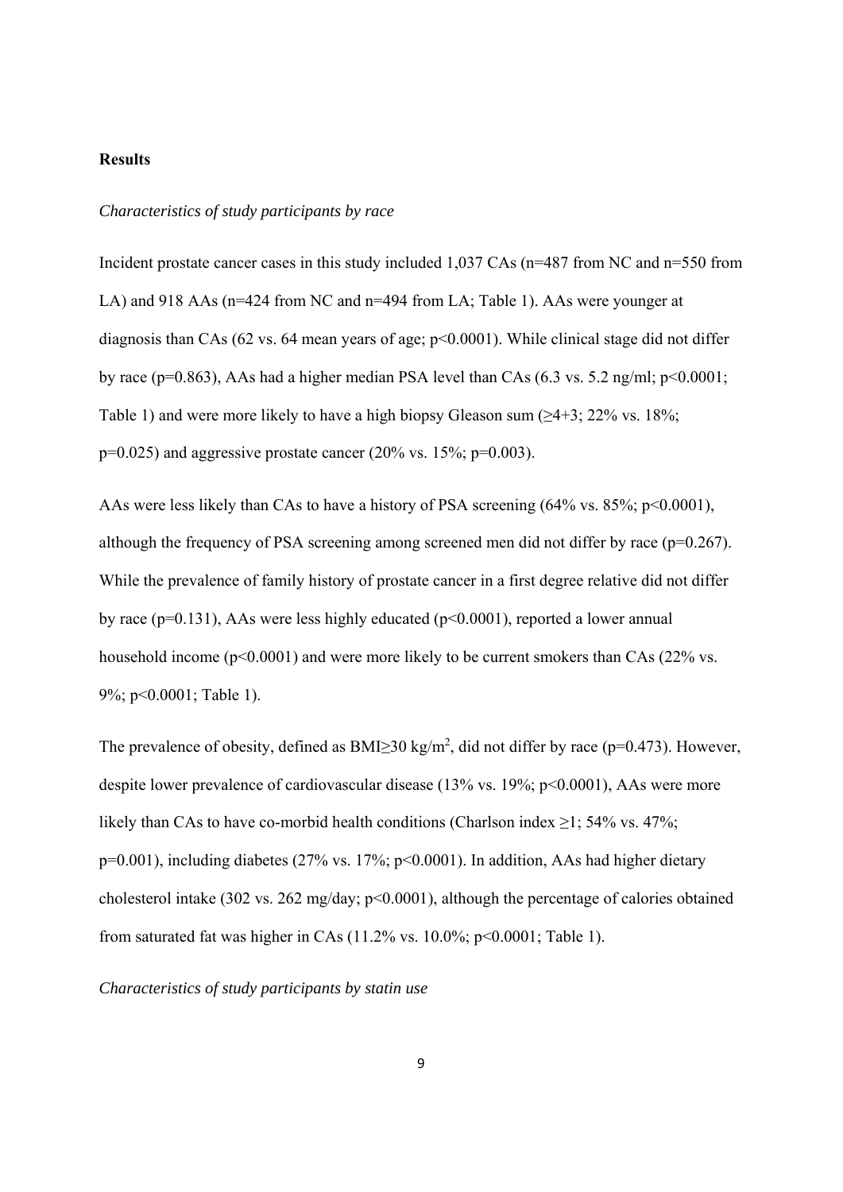## **Results**

## *Characteristics of study participants by race*

Incident prostate cancer cases in this study included 1,037 CAs (n=487 from NC and n=550 from LA) and 918 AAs (n=424 from NC and n=494 from LA; Table 1). AAs were younger at diagnosis than CAs  $(62 \text{ vs. } 64 \text{ mean years of age}; p \leq 0.0001)$ . While clinical stage did not differ by race ( $p=0.863$ ), AAs had a higher median PSA level than CAs (6.3 vs. 5.2 ng/ml;  $p<0.0001$ ; Table 1) and were more likely to have a high biopsy Gleason sum  $(\geq 4+3; 22\% \text{ vs. } 18\%;$  $p=0.025$ ) and aggressive prostate cancer (20% vs. 15%;  $p=0.003$ ).

AAs were less likely than CAs to have a history of PSA screening (64% vs. 85%; p<0.0001), although the frequency of PSA screening among screened men did not differ by race (p=0.267). While the prevalence of family history of prostate cancer in a first degree relative did not differ by race (p=0.131), AAs were less highly educated (p<0.0001), reported a lower annual household income (p<0.0001) and were more likely to be current smokers than CAs (22% vs. 9%; p<0.0001; Table 1).

The prevalence of obesity, defined as  $BMI \geq 30 \text{ kg/m}^2$ , did not differ by race (p=0.473). However, despite lower prevalence of cardiovascular disease (13% vs. 19%; p<0.0001), AAs were more likely than CAs to have co-morbid health conditions (Charlson index ≥1; 54% vs. 47%;  $p=0.001$ ), including diabetes (27% vs. 17%;  $p<0.0001$ ). In addition, AAs had higher dietary cholesterol intake (302 vs. 262 mg/day; p<0.0001), although the percentage of calories obtained from saturated fat was higher in CAs  $(11.2\% \text{ vs. } 10.0\%; \text{ p} < 0.0001; \text{ Table 1}).$ 

*Characteristics of study participants by statin use*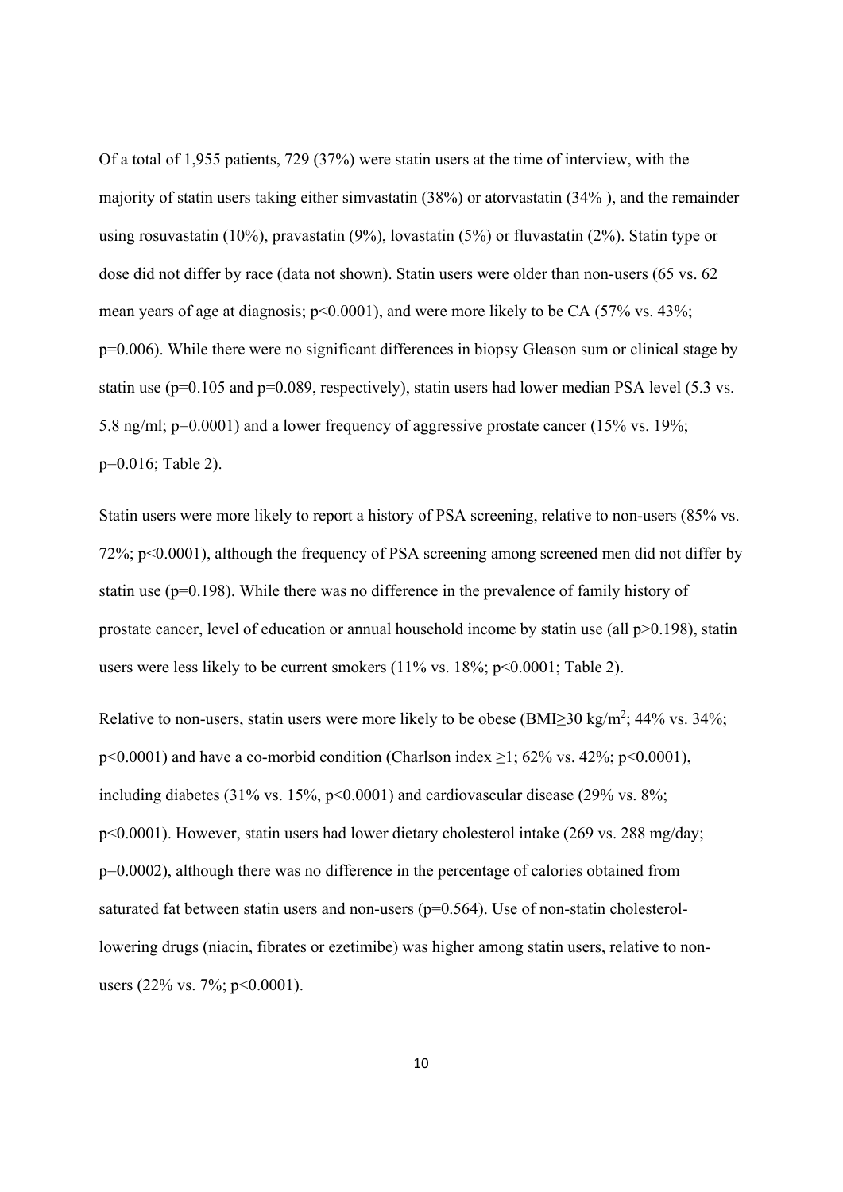Of a total of 1,955 patients, 729 (37%) were statin users at the time of interview, with the majority of statin users taking either simvastatin (38%) or atorvastatin (34% ), and the remainder using rosuvastatin (10%), pravastatin (9%), lovastatin (5%) or fluvastatin (2%). Statin type or dose did not differ by race (data not shown). Statin users were older than non-users (65 vs. 62 mean years of age at diagnosis;  $p<0.0001$ ), and were more likely to be CA (57% vs. 43%; p=0.006). While there were no significant differences in biopsy Gleason sum or clinical stage by statin use (p=0.105 and p=0.089, respectively), statin users had lower median PSA level (5.3 vs. 5.8 ng/ml; p=0.0001) and a lower frequency of aggressive prostate cancer (15% vs. 19%; p=0.016; Table 2).

Statin users were more likely to report a history of PSA screening, relative to non-users (85% vs. 72%; p<0.0001), although the frequency of PSA screening among screened men did not differ by statin use ( $p=0.198$ ). While there was no difference in the prevalence of family history of prostate cancer, level of education or annual household income by statin use (all p>0.198), statin users were less likely to be current smokers (11% vs. 18%; p<0.0001; Table 2).

Relative to non-users, statin users were more likely to be obese (BMI $\geq$ 30 kg/m<sup>2</sup>; 44% vs. 34%;  $p \le 0.0001$ ) and have a co-morbid condition (Charlson index  $\ge 1$ ; 62% vs. 42%; p $\le 0.0001$ ), including diabetes (31% vs. 15%,  $p<0.0001$ ) and cardiovascular disease (29% vs. 8%; p<0.0001). However, statin users had lower dietary cholesterol intake (269 vs. 288 mg/day; p=0.0002), although there was no difference in the percentage of calories obtained from saturated fat between statin users and non-users ( $p=0.564$ ). Use of non-statin cholesterollowering drugs (niacin, fibrates or ezetimibe) was higher among statin users, relative to nonusers  $(22\% \text{ vs. } 7\%; \text{ p} < 0.0001).$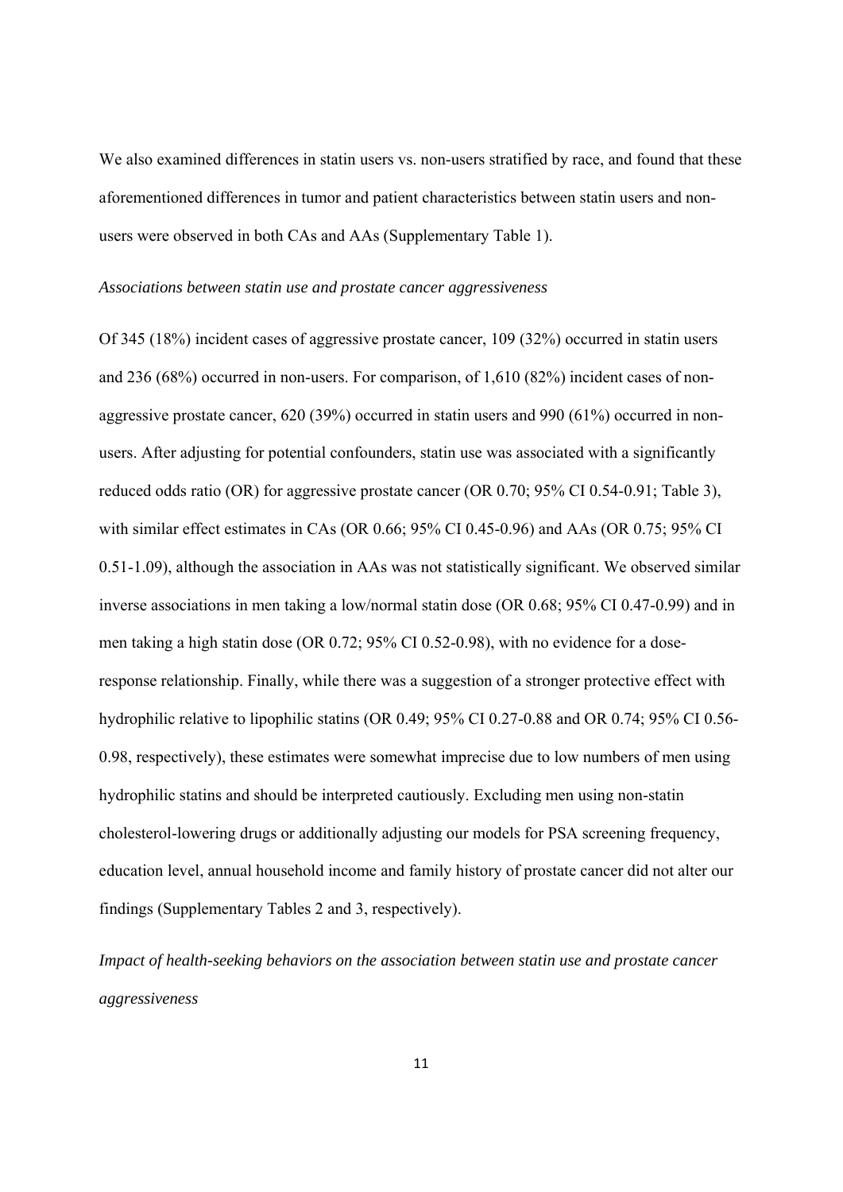We also examined differences in statin users vs. non-users stratified by race, and found that these aforementioned differences in tumor and patient characteristics between statin users and nonusers were observed in both CAs and AAs (Supplementary Table 1).

#### *Associations between statin use and prostate cancer aggressiveness*

Of 345 (18%) incident cases of aggressive prostate cancer, 109 (32%) occurred in statin users and 236 (68%) occurred in non-users. For comparison, of 1,610 (82%) incident cases of nonaggressive prostate cancer, 620 (39%) occurred in statin users and 990 (61%) occurred in nonusers. After adjusting for potential confounders, statin use was associated with a significantly reduced odds ratio (OR) for aggressive prostate cancer (OR 0.70; 95% CI 0.54-0.91; Table 3), with similar effect estimates in CAs (OR 0.66; 95% CI 0.45-0.96) and AAs (OR 0.75; 95% CI 0.51-1.09), although the association in AAs was not statistically significant. We observed similar inverse associations in men taking a low/normal statin dose (OR 0.68; 95% CI 0.47-0.99) and in men taking a high statin dose (OR 0.72; 95% CI 0.52-0.98), with no evidence for a doseresponse relationship. Finally, while there was a suggestion of a stronger protective effect with hydrophilic relative to lipophilic statins (OR 0.49; 95% CI 0.27-0.88 and OR 0.74; 95% CI 0.56- 0.98, respectively), these estimates were somewhat imprecise due to low numbers of men using hydrophilic statins and should be interpreted cautiously. Excluding men using non-statin cholesterol-lowering drugs or additionally adjusting our models for PSA screening frequency, education level, annual household income and family history of prostate cancer did not alter our findings (Supplementary Tables 2 and 3, respectively).

*Impact of health-seeking behaviors on the association between statin use and prostate cancer aggressiveness*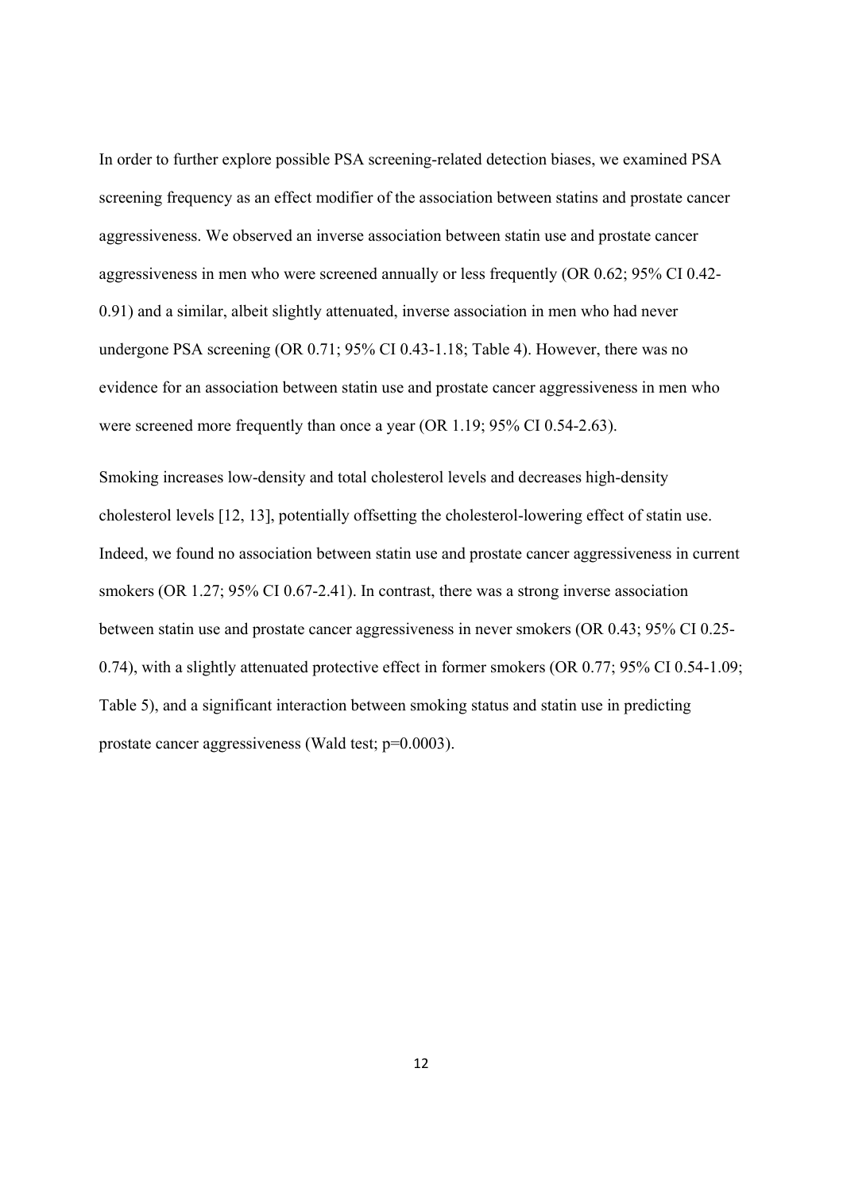In order to further explore possible PSA screening-related detection biases, we examined PSA screening frequency as an effect modifier of the association between statins and prostate cancer aggressiveness. We observed an inverse association between statin use and prostate cancer aggressiveness in men who were screened annually or less frequently (OR 0.62; 95% CI 0.42- 0.91) and a similar, albeit slightly attenuated, inverse association in men who had never undergone PSA screening (OR 0.71; 95% CI 0.43-1.18; Table 4). However, there was no evidence for an association between statin use and prostate cancer aggressiveness in men who were screened more frequently than once a year (OR 1.19; 95% CI 0.54-2.63).

Smoking increases low-density and total cholesterol levels and decreases high-density cholesterol levels [12, 13], potentially offsetting the cholesterol-lowering effect of statin use. Indeed, we found no association between statin use and prostate cancer aggressiveness in current smokers (OR 1.27; 95% CI 0.67-2.41). In contrast, there was a strong inverse association between statin use and prostate cancer aggressiveness in never smokers (OR 0.43; 95% CI 0.25- 0.74), with a slightly attenuated protective effect in former smokers (OR 0.77; 95% CI 0.54-1.09; Table 5), and a significant interaction between smoking status and statin use in predicting prostate cancer aggressiveness (Wald test; p=0.0003).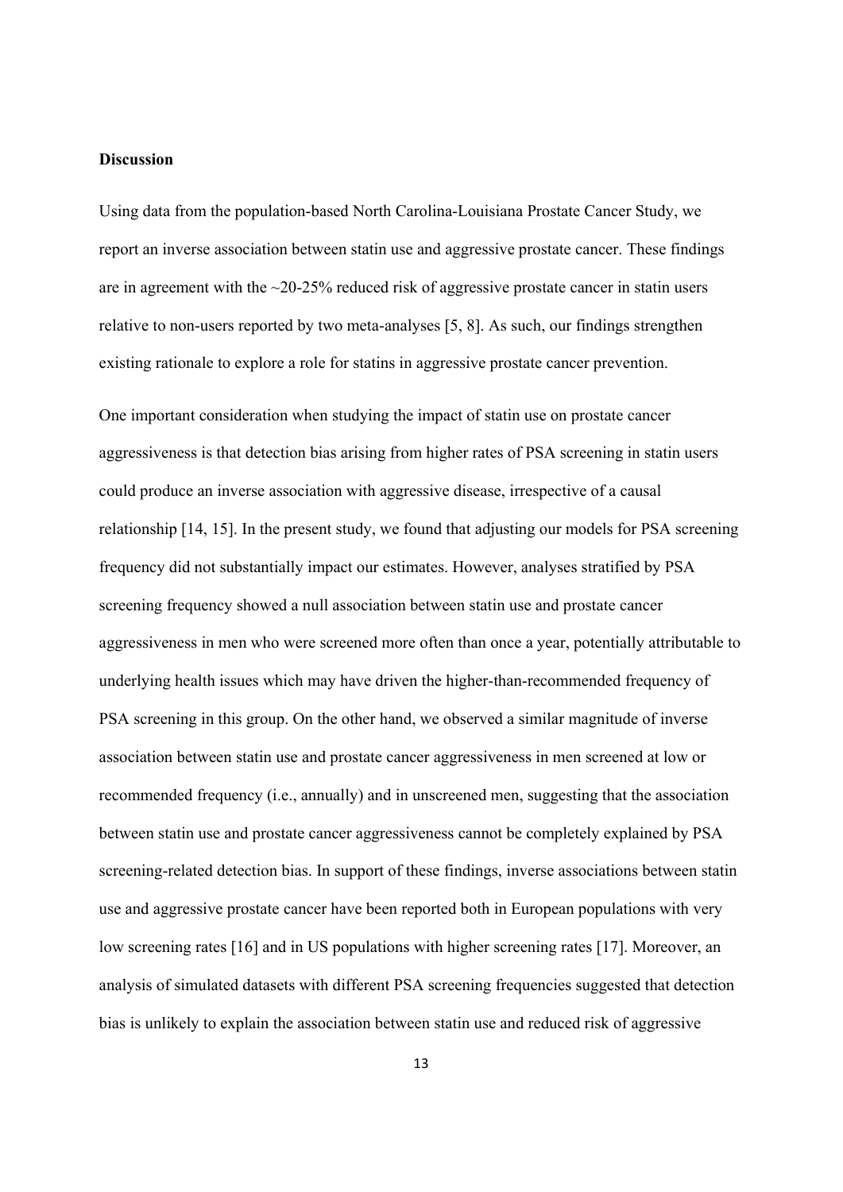## **Discussion**

Using data from the population-based North Carolina-Louisiana Prostate Cancer Study, we report an inverse association between statin use and aggressive prostate cancer. These findings are in agreement with the  $\approx$ 20-25% reduced risk of aggressive prostate cancer in statin users relative to non-users reported by two meta-analyses [5, 8]. As such, our findings strengthen existing rationale to explore a role for statins in aggressive prostate cancer prevention.

One important consideration when studying the impact of statin use on prostate cancer aggressiveness is that detection bias arising from higher rates of PSA screening in statin users could produce an inverse association with aggressive disease, irrespective of a causal relationship [14, 15]. In the present study, we found that adjusting our models for PSA screening frequency did not substantially impact our estimates. However, analyses stratified by PSA screening frequency showed a null association between statin use and prostate cancer aggressiveness in men who were screened more often than once a year, potentially attributable to underlying health issues which may have driven the higher-than-recommended frequency of PSA screening in this group. On the other hand, we observed a similar magnitude of inverse association between statin use and prostate cancer aggressiveness in men screened at low or recommended frequency (i.e., annually) and in unscreened men, suggesting that the association between statin use and prostate cancer aggressiveness cannot be completely explained by PSA screening-related detection bias. In support of these findings, inverse associations between statin use and aggressive prostate cancer have been reported both in European populations with very low screening rates [16] and in US populations with higher screening rates [17]. Moreover, an analysis of simulated datasets with different PSA screening frequencies suggested that detection bias is unlikely to explain the association between statin use and reduced risk of aggressive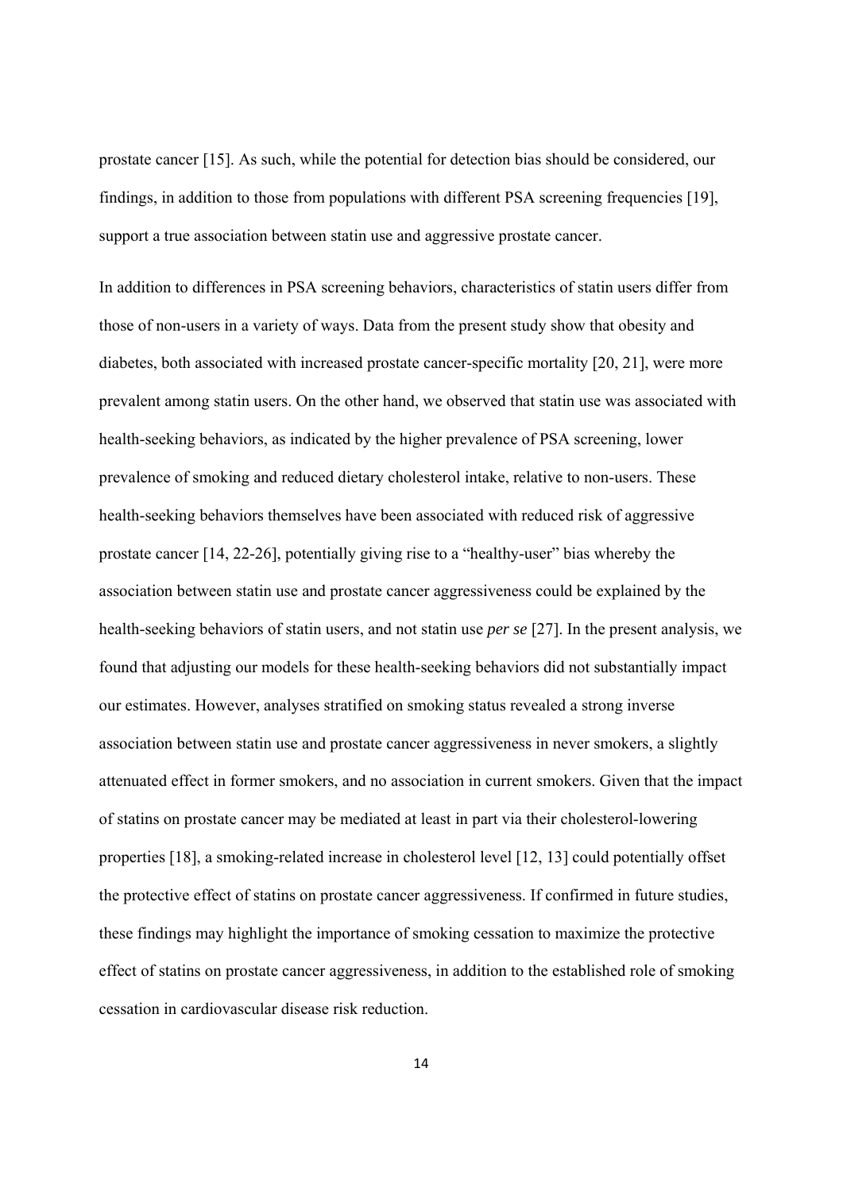prostate cancer [15]. As such, while the potential for detection bias should be considered, our findings, in addition to those from populations with different PSA screening frequencies [19], support a true association between statin use and aggressive prostate cancer.

In addition to differences in PSA screening behaviors, characteristics of statin users differ from those of non-users in a variety of ways. Data from the present study show that obesity and diabetes, both associated with increased prostate cancer-specific mortality [20, 21], were more prevalent among statin users. On the other hand, we observed that statin use was associated with health-seeking behaviors, as indicated by the higher prevalence of PSA screening, lower prevalence of smoking and reduced dietary cholesterol intake, relative to non-users. These health-seeking behaviors themselves have been associated with reduced risk of aggressive prostate cancer [14, 22-26], potentially giving rise to a "healthy-user" bias whereby the association between statin use and prostate cancer aggressiveness could be explained by the health-seeking behaviors of statin users, and not statin use *per se* [27]. In the present analysis, we found that adjusting our models for these health-seeking behaviors did not substantially impact our estimates. However, analyses stratified on smoking status revealed a strong inverse association between statin use and prostate cancer aggressiveness in never smokers, a slightly attenuated effect in former smokers, and no association in current smokers. Given that the impact of statins on prostate cancer may be mediated at least in part via their cholesterol-lowering properties [18], a smoking-related increase in cholesterol level [12, 13] could potentially offset the protective effect of statins on prostate cancer aggressiveness. If confirmed in future studies, these findings may highlight the importance of smoking cessation to maximize the protective effect of statins on prostate cancer aggressiveness, in addition to the established role of smoking cessation in cardiovascular disease risk reduction.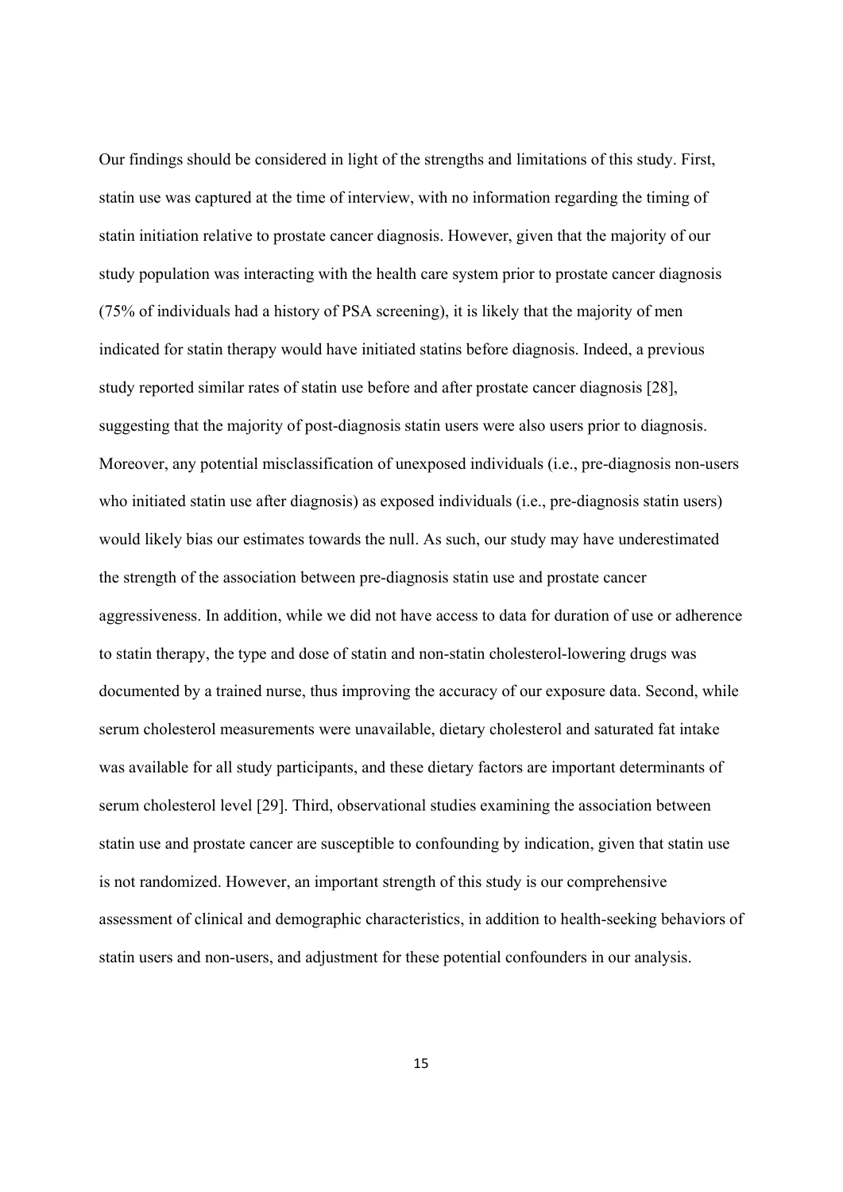Our findings should be considered in light of the strengths and limitations of this study. First, statin use was captured at the time of interview, with no information regarding the timing of statin initiation relative to prostate cancer diagnosis. However, given that the majority of our study population was interacting with the health care system prior to prostate cancer diagnosis (75% of individuals had a history of PSA screening), it is likely that the majority of men indicated for statin therapy would have initiated statins before diagnosis. Indeed, a previous study reported similar rates of statin use before and after prostate cancer diagnosis [28], suggesting that the majority of post-diagnosis statin users were also users prior to diagnosis. Moreover, any potential misclassification of unexposed individuals (i.e., pre-diagnosis non-users who initiated statin use after diagnosis) as exposed individuals (i.e., pre-diagnosis statin users) would likely bias our estimates towards the null. As such, our study may have underestimated the strength of the association between pre-diagnosis statin use and prostate cancer aggressiveness. In addition, while we did not have access to data for duration of use or adherence to statin therapy, the type and dose of statin and non-statin cholesterol-lowering drugs was documented by a trained nurse, thus improving the accuracy of our exposure data. Second, while serum cholesterol measurements were unavailable, dietary cholesterol and saturated fat intake was available for all study participants, and these dietary factors are important determinants of serum cholesterol level [29]. Third, observational studies examining the association between statin use and prostate cancer are susceptible to confounding by indication, given that statin use is not randomized. However, an important strength of this study is our comprehensive assessment of clinical and demographic characteristics, in addition to health-seeking behaviors of statin users and non-users, and adjustment for these potential confounders in our analysis.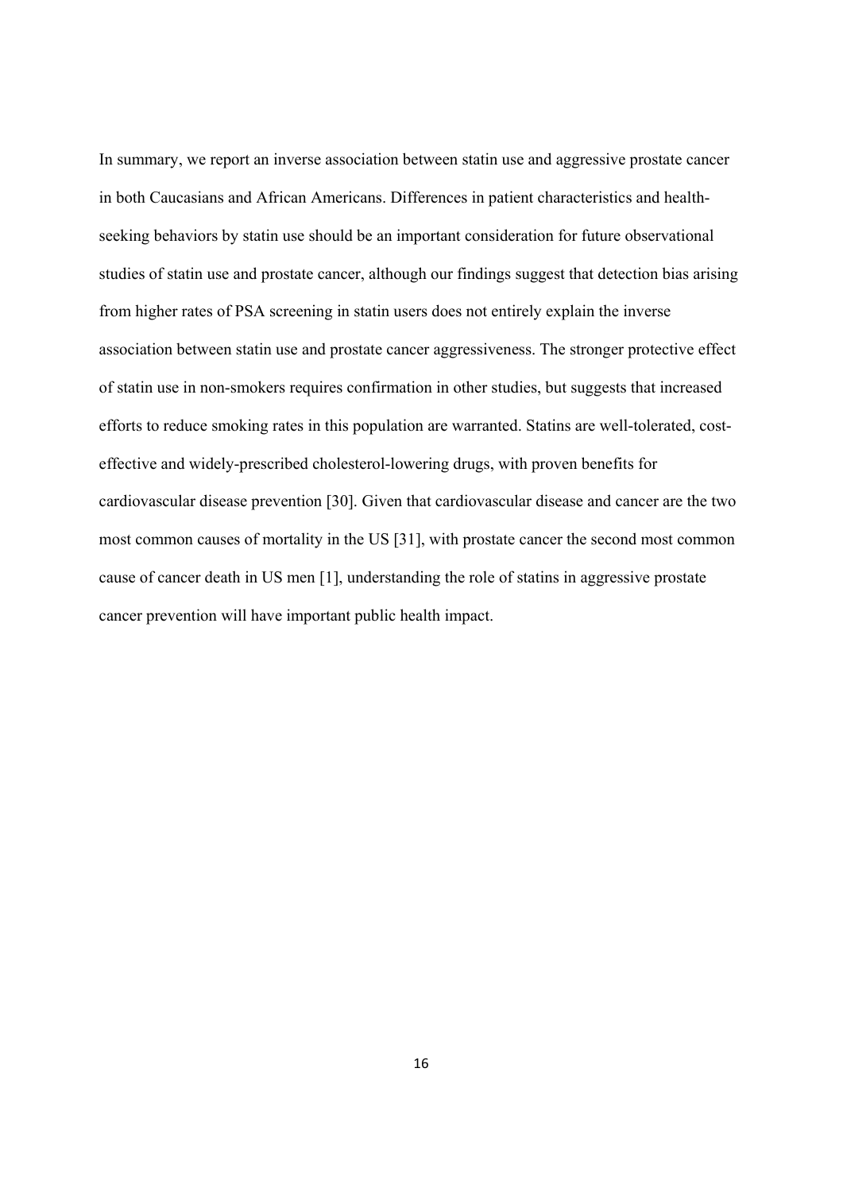In summary, we report an inverse association between statin use and aggressive prostate cancer in both Caucasians and African Americans. Differences in patient characteristics and healthseeking behaviors by statin use should be an important consideration for future observational studies of statin use and prostate cancer, although our findings suggest that detection bias arising from higher rates of PSA screening in statin users does not entirely explain the inverse association between statin use and prostate cancer aggressiveness. The stronger protective effect of statin use in non-smokers requires confirmation in other studies, but suggests that increased efforts to reduce smoking rates in this population are warranted. Statins are well-tolerated, costeffective and widely-prescribed cholesterol-lowering drugs, with proven benefits for cardiovascular disease prevention [30]. Given that cardiovascular disease and cancer are the two most common causes of mortality in the US [31], with prostate cancer the second most common cause of cancer death in US men [1], understanding the role of statins in aggressive prostate cancer prevention will have important public health impact.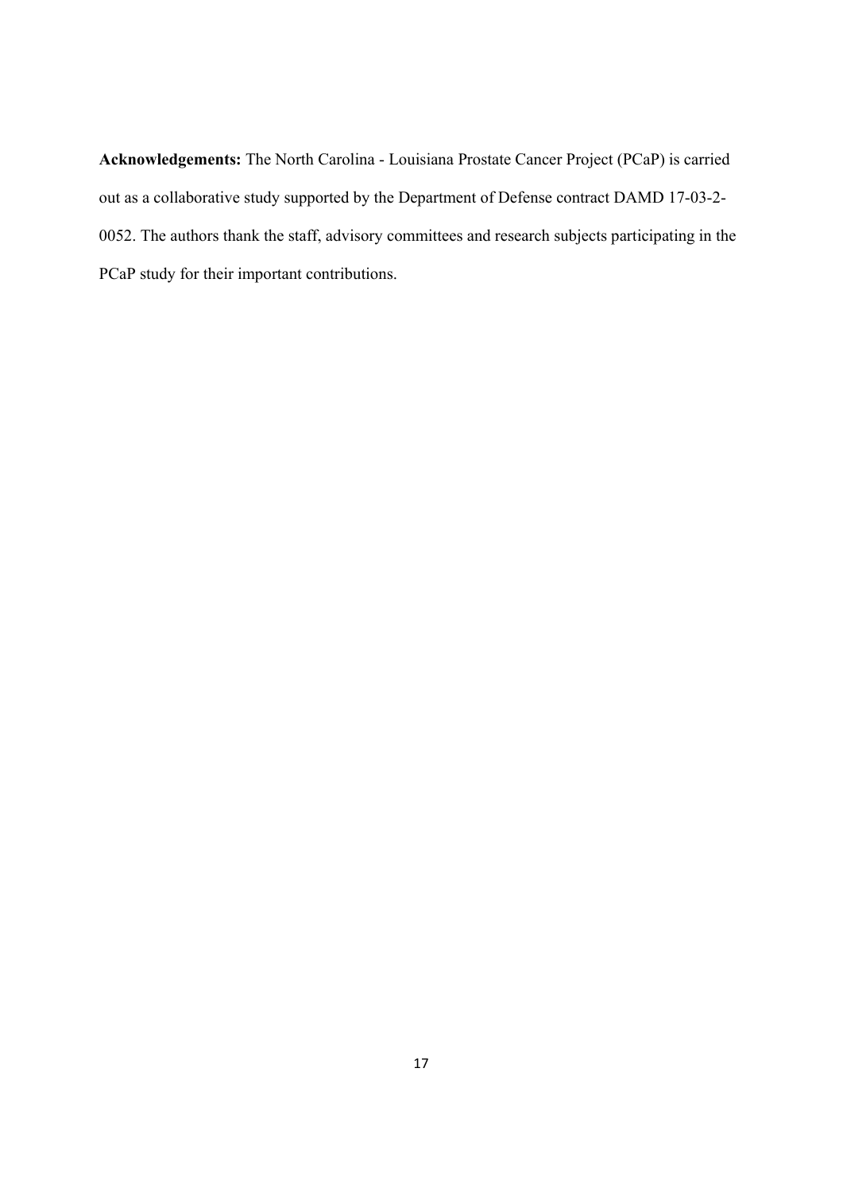**Acknowledgements:** The North Carolina - Louisiana Prostate Cancer Project (PCaP) is carried out as a collaborative study supported by the Department of Defense contract DAMD 17-03-2- 0052. The authors thank the staff, advisory committees and research subjects participating in the PCaP study for their important contributions.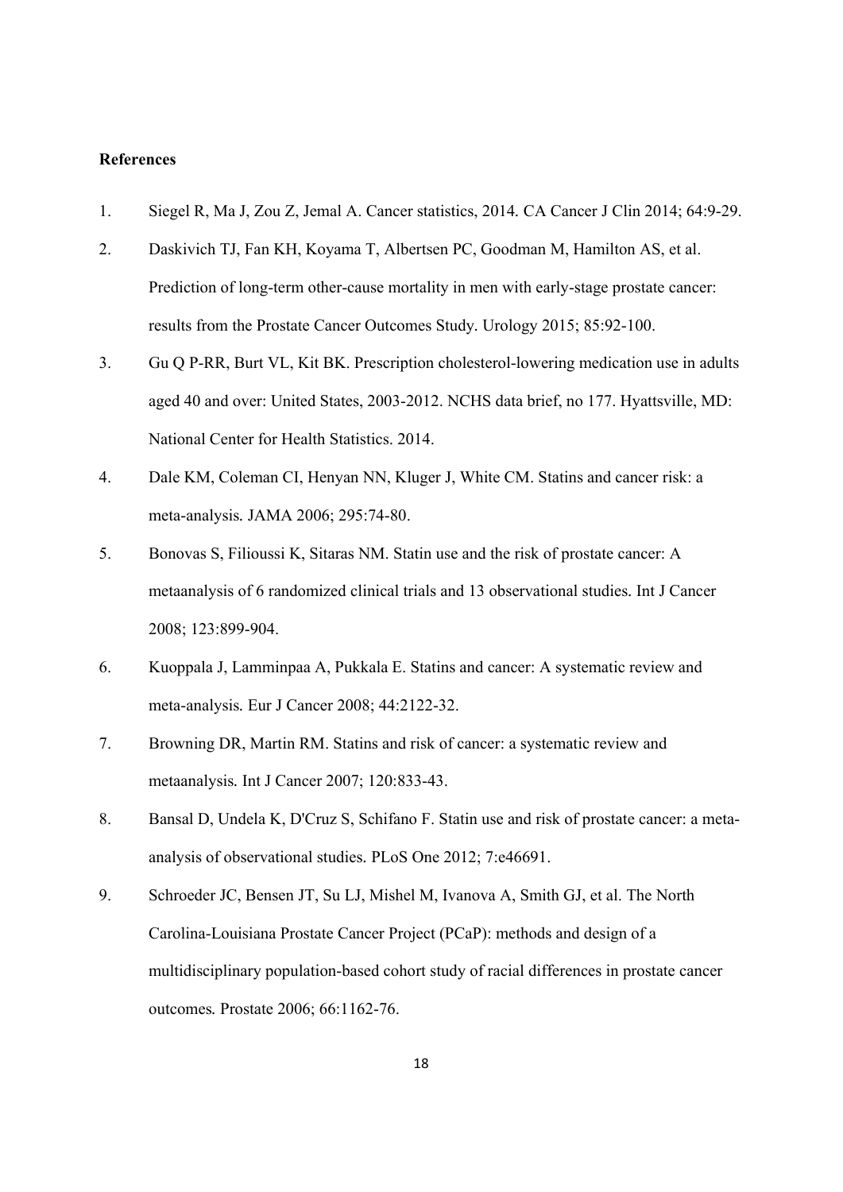## **References**

- 1. Siegel R, Ma J, Zou Z, Jemal A. Cancer statistics, 2014*.* CA Cancer J Clin 2014; 64:9-29.
- 2. Daskivich TJ, Fan KH, Koyama T, Albertsen PC, Goodman M, Hamilton AS, et al. Prediction of long-term other-cause mortality in men with early-stage prostate cancer: results from the Prostate Cancer Outcomes Study*.* Urology 2015; 85:92-100.
- 3. Gu Q P-RR, Burt VL, Kit BK. Prescription cholesterol-lowering medication use in adults aged 40 and over: United States, 2003-2012. NCHS data brief, no 177. Hyattsville, MD: National Center for Health Statistics. 2014.
- 4. Dale KM, Coleman CI, Henyan NN, Kluger J, White CM. Statins and cancer risk: a meta-analysis*.* JAMA 2006; 295:74-80.
- 5. Bonovas S, Filioussi K, Sitaras NM. Statin use and the risk of prostate cancer: A metaanalysis of 6 randomized clinical trials and 13 observational studies*.* Int J Cancer 2008; 123:899-904.
- 6. Kuoppala J, Lamminpaa A, Pukkala E. Statins and cancer: A systematic review and meta-analysis*.* Eur J Cancer 2008; 44:2122-32.
- 7. Browning DR, Martin RM. Statins and risk of cancer: a systematic review and metaanalysis*.* Int J Cancer 2007; 120:833-43.
- 8. Bansal D, Undela K, D'Cruz S, Schifano F. Statin use and risk of prostate cancer: a metaanalysis of observational studies*.* PLoS One 2012; 7:e46691.
- 9. Schroeder JC, Bensen JT, Su LJ, Mishel M, Ivanova A, Smith GJ, et al. The North Carolina-Louisiana Prostate Cancer Project (PCaP): methods and design of a multidisciplinary population-based cohort study of racial differences in prostate cancer outcomes*.* Prostate 2006; 66:1162-76.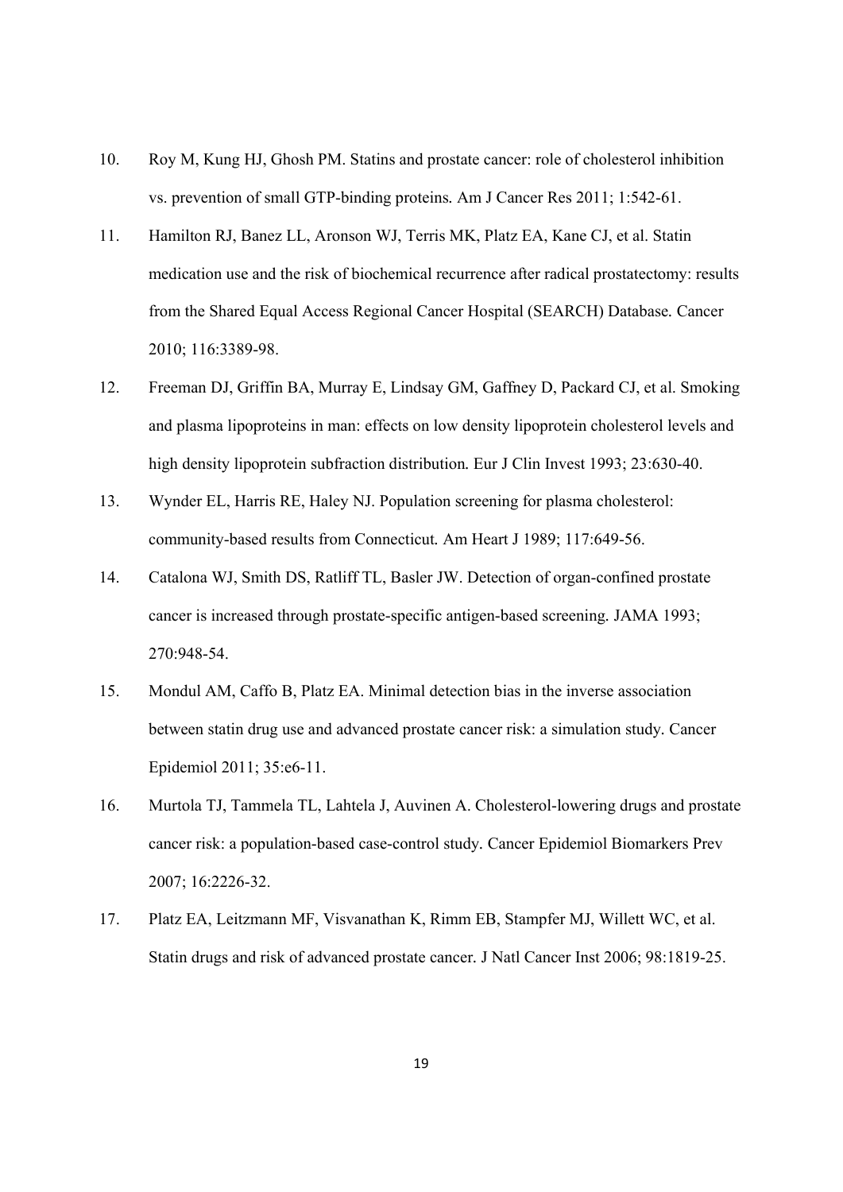- 10. Roy M, Kung HJ, Ghosh PM. Statins and prostate cancer: role of cholesterol inhibition vs. prevention of small GTP-binding proteins*.* Am J Cancer Res 2011; 1:542-61.
- 11. Hamilton RJ, Banez LL, Aronson WJ, Terris MK, Platz EA, Kane CJ, et al. Statin medication use and the risk of biochemical recurrence after radical prostatectomy: results from the Shared Equal Access Regional Cancer Hospital (SEARCH) Database*.* Cancer 2010; 116:3389-98.
- 12. Freeman DJ, Griffin BA, Murray E, Lindsay GM, Gaffney D, Packard CJ, et al. Smoking and plasma lipoproteins in man: effects on low density lipoprotein cholesterol levels and high density lipoprotein subfraction distribution*.* Eur J Clin Invest 1993; 23:630-40.
- 13. Wynder EL, Harris RE, Haley NJ. Population screening for plasma cholesterol: community-based results from Connecticut*.* Am Heart J 1989; 117:649-56.
- 14. Catalona WJ, Smith DS, Ratliff TL, Basler JW. Detection of organ-confined prostate cancer is increased through prostate-specific antigen-based screening*.* JAMA 1993; 270:948-54.
- 15. Mondul AM, Caffo B, Platz EA. Minimal detection bias in the inverse association between statin drug use and advanced prostate cancer risk: a simulation study*.* Cancer Epidemiol 2011; 35:e6-11.
- 16. Murtola TJ, Tammela TL, Lahtela J, Auvinen A. Cholesterol-lowering drugs and prostate cancer risk: a population-based case-control study*.* Cancer Epidemiol Biomarkers Prev 2007; 16:2226-32.
- 17. Platz EA, Leitzmann MF, Visvanathan K, Rimm EB, Stampfer MJ, Willett WC, et al. Statin drugs and risk of advanced prostate cancer*.* J Natl Cancer Inst 2006; 98:1819-25.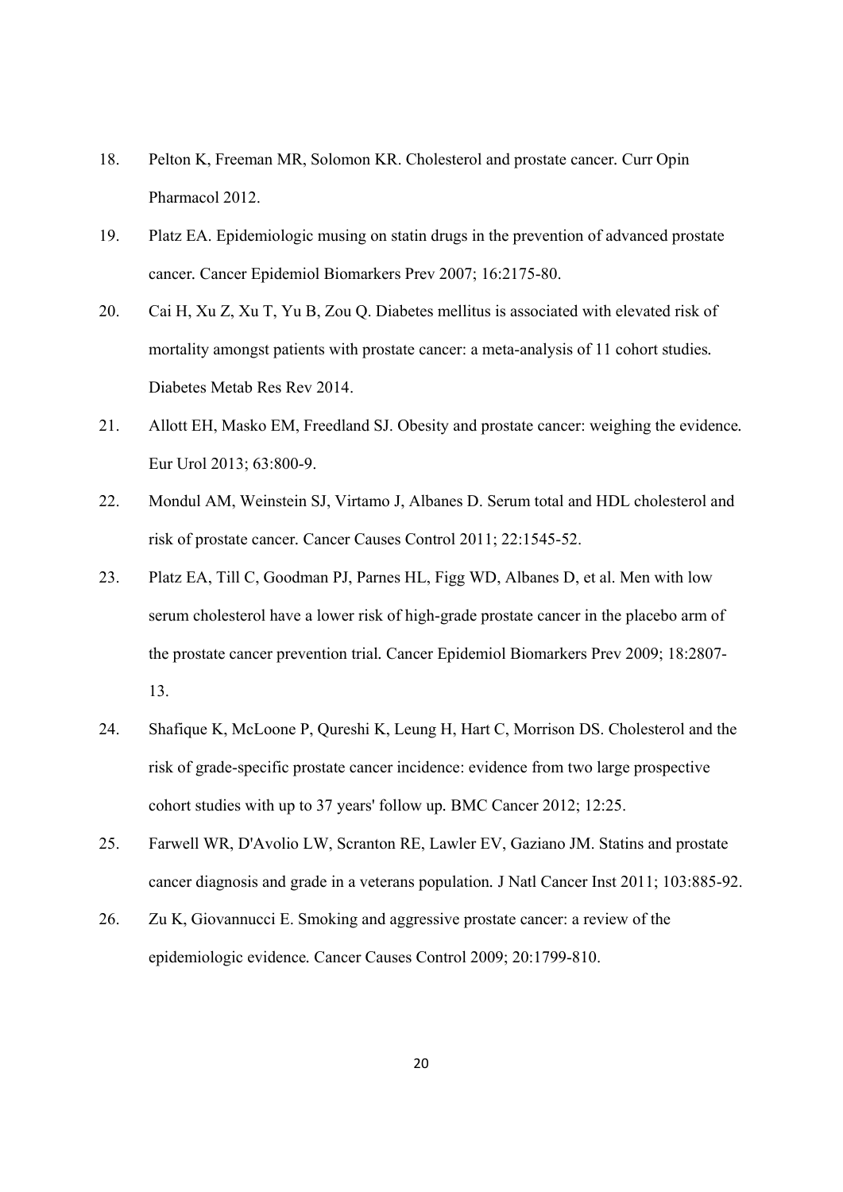- 18. Pelton K, Freeman MR, Solomon KR. Cholesterol and prostate cancer*.* Curr Opin Pharmacol 2012.
- 19. Platz EA. Epidemiologic musing on statin drugs in the prevention of advanced prostate cancer*.* Cancer Epidemiol Biomarkers Prev 2007; 16:2175-80.
- 20. Cai H, Xu Z, Xu T, Yu B, Zou Q. Diabetes mellitus is associated with elevated risk of mortality amongst patients with prostate cancer: a meta-analysis of 11 cohort studies*.* Diabetes Metab Res Rev 2014.
- 21. Allott EH, Masko EM, Freedland SJ. Obesity and prostate cancer: weighing the evidence*.* Eur Urol 2013; 63:800-9.
- 22. Mondul AM, Weinstein SJ, Virtamo J, Albanes D. Serum total and HDL cholesterol and risk of prostate cancer*.* Cancer Causes Control 2011; 22:1545-52.
- 23. Platz EA, Till C, Goodman PJ, Parnes HL, Figg WD, Albanes D, et al. Men with low serum cholesterol have a lower risk of high-grade prostate cancer in the placebo arm of the prostate cancer prevention trial*.* Cancer Epidemiol Biomarkers Prev 2009; 18:2807- 13.
- 24. Shafique K, McLoone P, Qureshi K, Leung H, Hart C, Morrison DS. Cholesterol and the risk of grade-specific prostate cancer incidence: evidence from two large prospective cohort studies with up to 37 years' follow up*.* BMC Cancer 2012; 12:25.
- 25. Farwell WR, D'Avolio LW, Scranton RE, Lawler EV, Gaziano JM. Statins and prostate cancer diagnosis and grade in a veterans population*.* J Natl Cancer Inst 2011; 103:885-92.
- 26. Zu K, Giovannucci E. Smoking and aggressive prostate cancer: a review of the epidemiologic evidence*.* Cancer Causes Control 2009; 20:1799-810.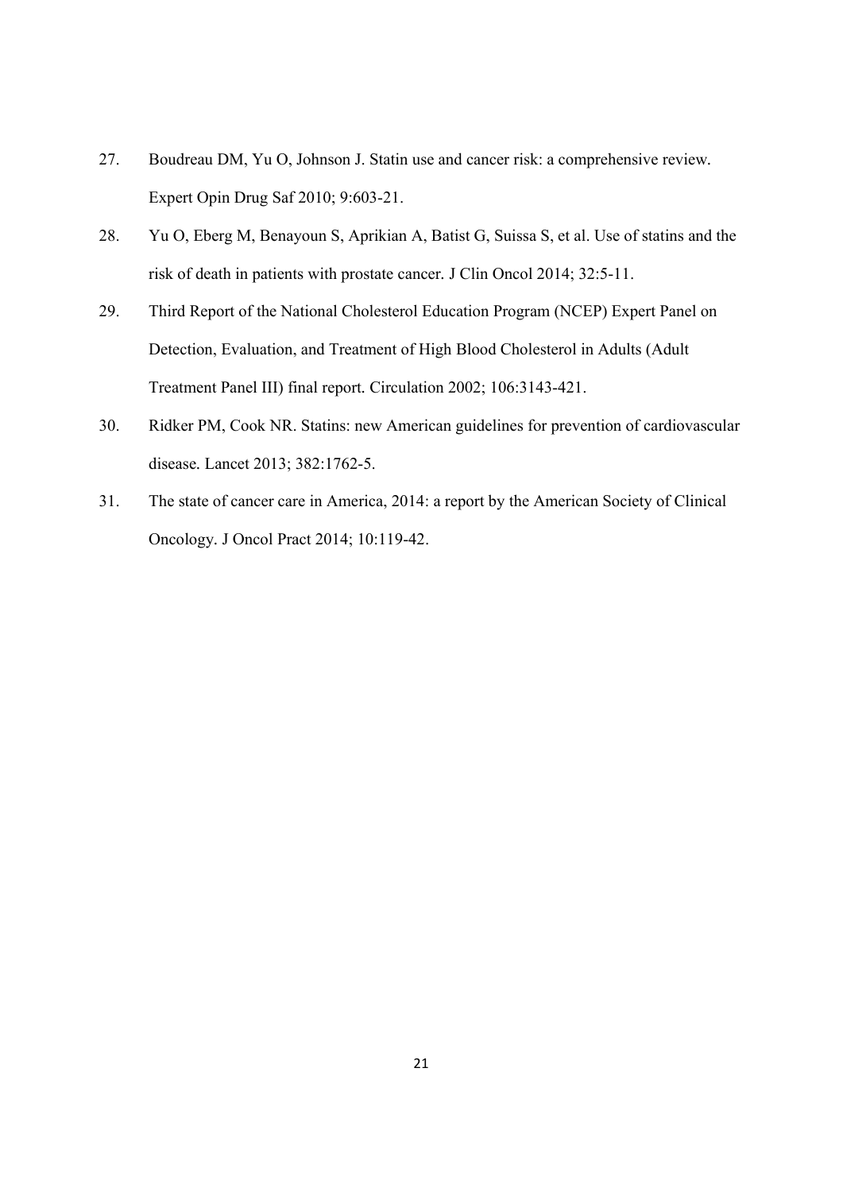- 27. Boudreau DM, Yu O, Johnson J. Statin use and cancer risk: a comprehensive review*.* Expert Opin Drug Saf 2010; 9:603-21.
- 28. Yu O, Eberg M, Benayoun S, Aprikian A, Batist G, Suissa S, et al. Use of statins and the risk of death in patients with prostate cancer*.* J Clin Oncol 2014; 32:5-11.
- 29. Third Report of the National Cholesterol Education Program (NCEP) Expert Panel on Detection, Evaluation, and Treatment of High Blood Cholesterol in Adults (Adult Treatment Panel III) final report*.* Circulation 2002; 106:3143-421.
- 30. Ridker PM, Cook NR. Statins: new American guidelines for prevention of cardiovascular disease*.* Lancet 2013; 382:1762-5.
- 31. The state of cancer care in America, 2014: a report by the American Society of Clinical Oncology*.* J Oncol Pract 2014; 10:119-42.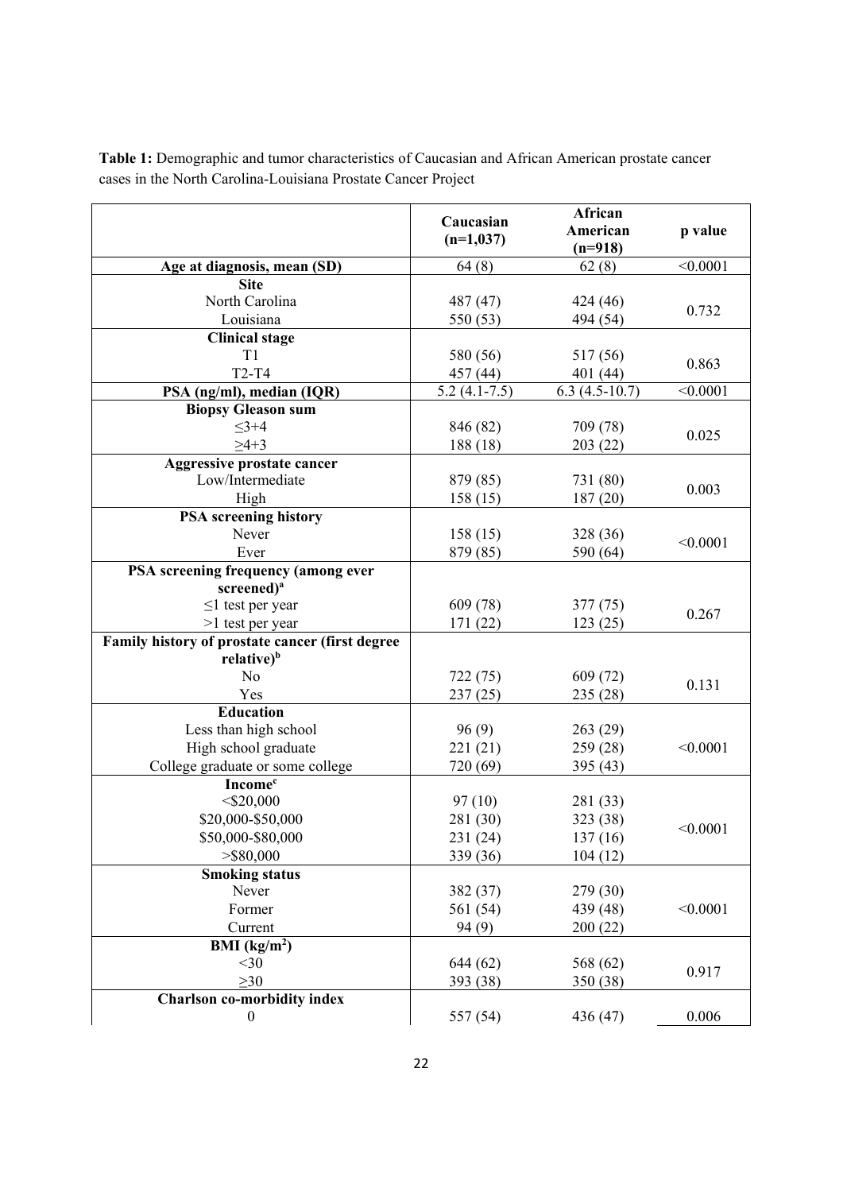|                                                                | Caucasian      | African         |          |
|----------------------------------------------------------------|----------------|-----------------|----------|
|                                                                | $(n=1,037)$    | American        | p value  |
|                                                                |                | $(n=918)$       | < 0.0001 |
| Age at diagnosis, mean (SD)<br><b>Site</b>                     | 64(8)          | 62(8)           |          |
| North Carolina                                                 | 487 (47)       | 424 (46)        |          |
| Louisiana                                                      | 550 (53)       | 494 (54)        | 0.732    |
| <b>Clinical stage</b>                                          |                |                 |          |
| T1                                                             | 580 (56)       | 517 (56)        |          |
| $T2-T4$                                                        | 457 (44)       | 401 (44)        | 0.863    |
| PSA (ng/ml), median (IQR)                                      | $5.2(4.1-7.5)$ | $6.3(4.5-10.7)$ | < 0.0001 |
| <b>Biopsy Gleason sum</b>                                      |                |                 |          |
| $3 + 4$                                                        | 846 (82)       | 709 (78)        |          |
| $\geq 4+3$                                                     | 188 (18)       | 203(22)         | 0.025    |
| Aggressive prostate cancer                                     |                |                 |          |
| Low/Intermediate                                               | 879 (85)       | 731 (80)        |          |
| High                                                           | 158(15)        | 187(20)         | 0.003    |
| <b>PSA</b> screening history                                   |                |                 |          |
| Never                                                          | 158(15)        | 328 (36)        | < 0.0001 |
| Ever                                                           | 879 (85)       | 590 (64)        |          |
| PSA screening frequency (among ever                            |                |                 |          |
| screened) <sup>a</sup>                                         |                |                 |          |
| $\leq$ 1 test per year                                         | 609 (78)       | 377(75)         | 0.267    |
| >1 test per year                                               | 171 (22)       | 123(25)         |          |
| Family history of prostate cancer (first degree                |                |                 |          |
| relative) <sup>b</sup>                                         |                |                 |          |
| No                                                             | 722 (75)       | 609 (72)        | 0.131    |
| Yes                                                            | 237(25)        | 235 (28)        |          |
| <b>Education</b>                                               |                |                 |          |
| Less than high school                                          | 96(9)          | 263(29)         |          |
| High school graduate                                           | 221 (21)       | 259 (28)        | < 0.0001 |
| College graduate or some college<br><b>Income</b> <sup>c</sup> | 720 (69)       | 395 (43)        |          |
| $<$ \$20,000                                                   | 97(10)         | 281 (33)        |          |
| \$20,000-\$50,000                                              | 281 (30)       | 323 (38)        |          |
| \$50,000-\$80,000                                              | 231 (24)       | 137(16)         | < 0.0001 |
| $>$ \$80,000                                                   | 339 (36)       | 104(12)         |          |
| <b>Smoking status</b>                                          |                |                 |          |
| Never                                                          | 382 (37)       | 279 (30)        |          |
| Former                                                         | 561 (54)       | 439 (48)        | < 0.0001 |
| Current                                                        | 94(9)          | 200(22)         |          |
| BMI $(kg/m2)$                                                  |                |                 |          |
| $<$ 30                                                         | 644(62)        | 568 (62)        |          |
| $\geq 30$                                                      | 393 (38)       | 350 (38)        | 0.917    |
| <b>Charlson co-morbidity index</b>                             |                |                 |          |
| $\boldsymbol{0}$                                               | 557 (54)       | 436 (47)        | 0.006    |

**Table 1:** Demographic and tumor characteristics of Caucasian and African American prostate cancer cases in the North Carolina-Louisiana Prostate Cancer Project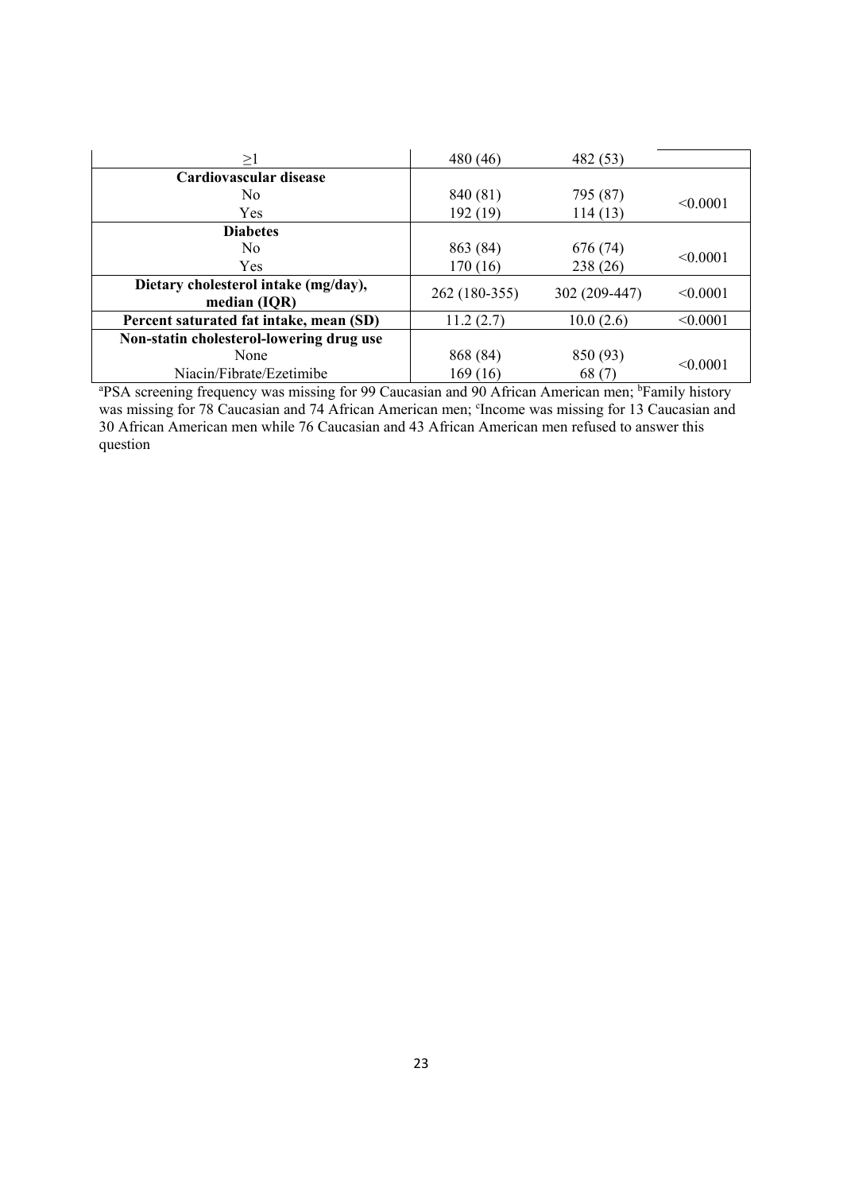| >1                                                                                                                         | 480 (46)      | 482 (53)      |          |
|----------------------------------------------------------------------------------------------------------------------------|---------------|---------------|----------|
| Cardiovascular disease                                                                                                     |               |               |          |
| No.                                                                                                                        | 840 (81)      | 795 (87)      |          |
| Yes.                                                                                                                       | 192 (19)      | 114(13)       | < 0.0001 |
| <b>Diabetes</b>                                                                                                            |               |               |          |
| No.                                                                                                                        | 863 (84)      | 676 (74)      |          |
| Yes.                                                                                                                       | 170 (16)      | 238 (26)      | < 0.0001 |
| Dietary cholesterol intake (mg/day),                                                                                       | 262 (180-355) | 302 (209-447) | < 0.0001 |
| median (IQR)                                                                                                               |               |               |          |
| Percent saturated fat intake, mean (SD)                                                                                    | 11.2(2.7)     | 10.0(2.6)     | < 0.0001 |
| Non-statin cholesterol-lowering drug use                                                                                   |               |               |          |
| None                                                                                                                       | 868 (84)      | 850 (93)      |          |
| Niacin/Fibrate/Ezetimibe                                                                                                   | 169(16)       | 68(7)         | < 0.0001 |
| <sup>a</sup> PSA screening frequency was missing for 99 Caucasian and 90 African American men; <sup>b</sup> Family history |               |               |          |

was missing for 78 Caucasian and 74 African American men; <sup>c</sup>Income was missing for 13 Caucasian and 30 African American men while 76 Caucasian and 43 African American men refused to answer this question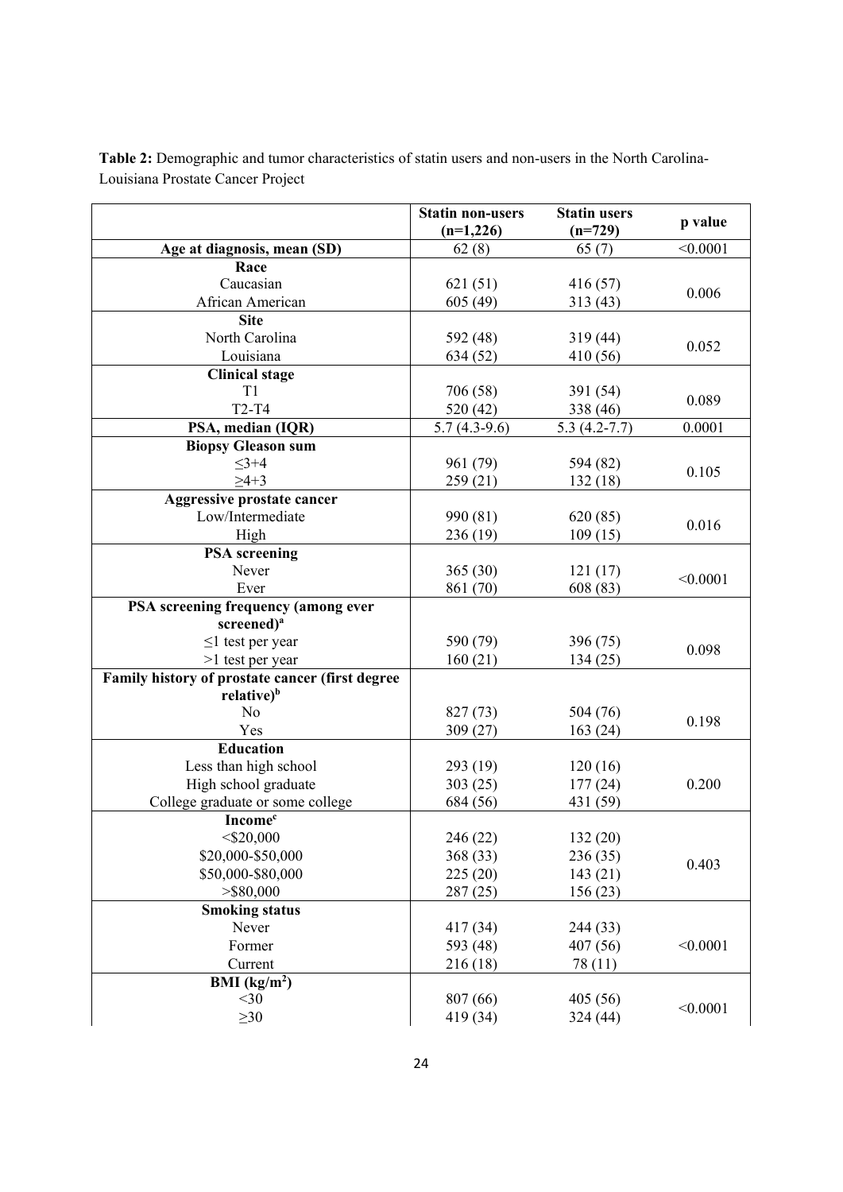|                                                                           | <b>Statin non-users</b> | <b>Statin users</b> |          |
|---------------------------------------------------------------------------|-------------------------|---------------------|----------|
|                                                                           | $(n=1,226)$             | $(n=729)$           | p value  |
| Age at diagnosis, mean (SD)                                               | 62(8)                   | 65(7)               | < 0.0001 |
| Race                                                                      |                         |                     |          |
| Caucasian                                                                 | 621(51)                 | 416 (57)            | 0.006    |
| African American                                                          | 605(49)                 | 313 (43)            |          |
| <b>Site</b>                                                               |                         |                     |          |
| North Carolina                                                            | 592 (48)                | 319(44)             | 0.052    |
| Louisiana                                                                 | 634 (52)                | 410 (56)            |          |
| <b>Clinical stage</b>                                                     |                         |                     |          |
| T1                                                                        | 706 (58)                | 391 (54)            | 0.089    |
| <b>T2-T4</b>                                                              | 520 (42)                | 338 (46)            |          |
| PSA, median (IQR)                                                         | $5.7(4.3-9.6)$          | $5.3(4.2-7.7)$      | 0.0001   |
| <b>Biopsy Gleason sum</b>                                                 |                         |                     |          |
| $\leq$ 3+4                                                                | 961 (79)                | 594 (82)            | 0.105    |
| $\geq 4+3$                                                                | 259 (21)                | 132 (18)            |          |
| Aggressive prostate cancer                                                |                         |                     |          |
| Low/Intermediate                                                          | 990 (81)                | 620(85)             | 0.016    |
| High                                                                      | 236 (19)                | 109(15)             |          |
| <b>PSA</b> screening                                                      |                         |                     |          |
| Never                                                                     | 365(30)                 | 121(17)             | < 0.0001 |
| Ever                                                                      | 861 (70)                | 608 (83)            |          |
| PSA screening frequency (among ever                                       |                         |                     |          |
| screened) <sup>a</sup>                                                    |                         |                     |          |
| $\leq$ 1 test per year                                                    | 590 (79)                | 396 (75)            | 0.098    |
| >1 test per year                                                          | 160(21)                 | 134(25)             |          |
| Family history of prostate cancer (first degree<br>relative) <sup>b</sup> |                         |                     |          |
| N <sub>o</sub>                                                            |                         |                     |          |
| Yes                                                                       | 827 (73)<br>309(27)     | 504 (76)<br>163(24) | 0.198    |
| <b>Education</b>                                                          |                         |                     |          |
| Less than high school                                                     | 293 (19)                | 120(16)             |          |
| High school graduate                                                      | 303(25)                 | 177(24)             | 0.200    |
| College graduate or some college                                          | 684 (56)                | 431 (59)            |          |
| <b>Income</b> <sup>c</sup>                                                |                         |                     |          |
| $<$ \$20,000                                                              | 246 (22)                | 132(20)             |          |
| \$20,000-\$50,000                                                         | 368 (33)                | 236 (35)            |          |
| \$50,000-\$80,000                                                         | 225(20)                 | 143(21)             | 0.403    |
| $>$ \$80,000                                                              | 287(25)                 | 156(23)             |          |
| <b>Smoking status</b>                                                     |                         |                     |          |
| Never                                                                     | 417(34)                 | 244 (33)            |          |
| Former                                                                    | 593 (48)                | 407 (56)            | < 0.0001 |
| Current                                                                   | 216 (18)                | 78 (11)             |          |
| BMI $(kg/m2)$                                                             |                         |                     |          |
| $<$ 30                                                                    | 807 (66)                | 405(56)             |          |
| $\geq 30$                                                                 | 419 (34)                | 324 (44)            | < 0.0001 |
|                                                                           |                         |                     |          |

**Table 2:** Demographic and tumor characteristics of statin users and non-users in the North Carolina-Louisiana Prostate Cancer Project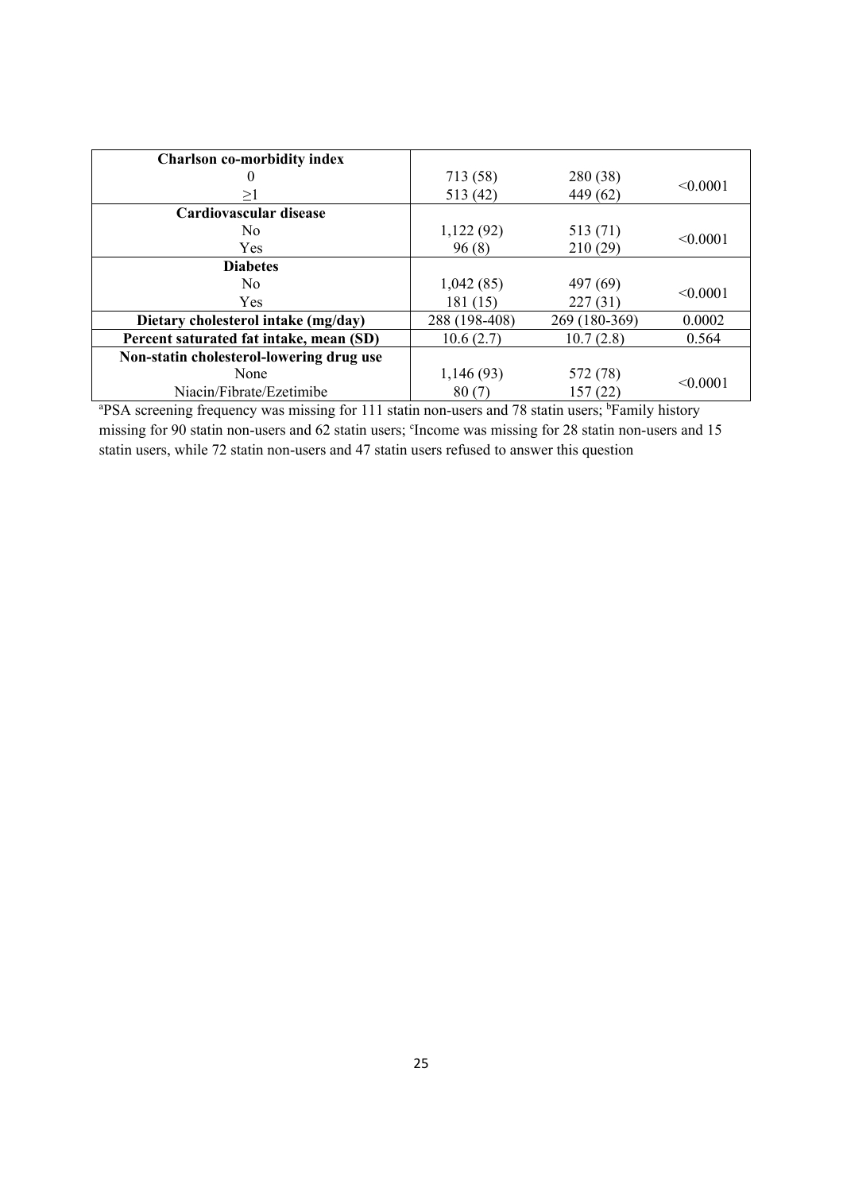| <b>Charlson co-morbidity index</b>                                                                                         |               |               |          |
|----------------------------------------------------------------------------------------------------------------------------|---------------|---------------|----------|
|                                                                                                                            | 713 (58)      | 280 (38)      |          |
| ≥l                                                                                                                         | 513 (42)      | 449 (62)      | < 0.0001 |
| Cardiovascular disease                                                                                                     |               |               |          |
| No.                                                                                                                        | 1,122(92)     | 513 (71)      |          |
| <b>Yes</b>                                                                                                                 | 96(8)         | 210(29)       | < 0.0001 |
| <b>Diabetes</b>                                                                                                            |               |               |          |
| No.                                                                                                                        | 1,042(85)     | 497 (69)      |          |
| <b>Yes</b>                                                                                                                 | 181 (15)      | 227(31)       | < 0.0001 |
| Dietary cholesterol intake (mg/day)                                                                                        | 288 (198-408) | 269 (180-369) | 0.0002   |
| Percent saturated fat intake, mean (SD)                                                                                    | 10.6(2.7)     | 10.7(2.8)     | 0.564    |
| Non-statin cholesterol-lowering drug use                                                                                   |               |               |          |
| None                                                                                                                       | 1,146(93)     | 572 (78)      |          |
| Niacin/Fibrate/Ezetimibe                                                                                                   | 80(7)         | 157(22)       | < 0.0001 |
| <sup>a</sup> PSA screening frequency was missing for 111 statin non-users and 78 statin users; <sup>b</sup> Family history |               |               |          |

missing for 90 statin non-users and 62 statin users; 'Income was missing for 28 statin non-users and 15 statin users, while 72 statin non-users and 47 statin users refused to answer this question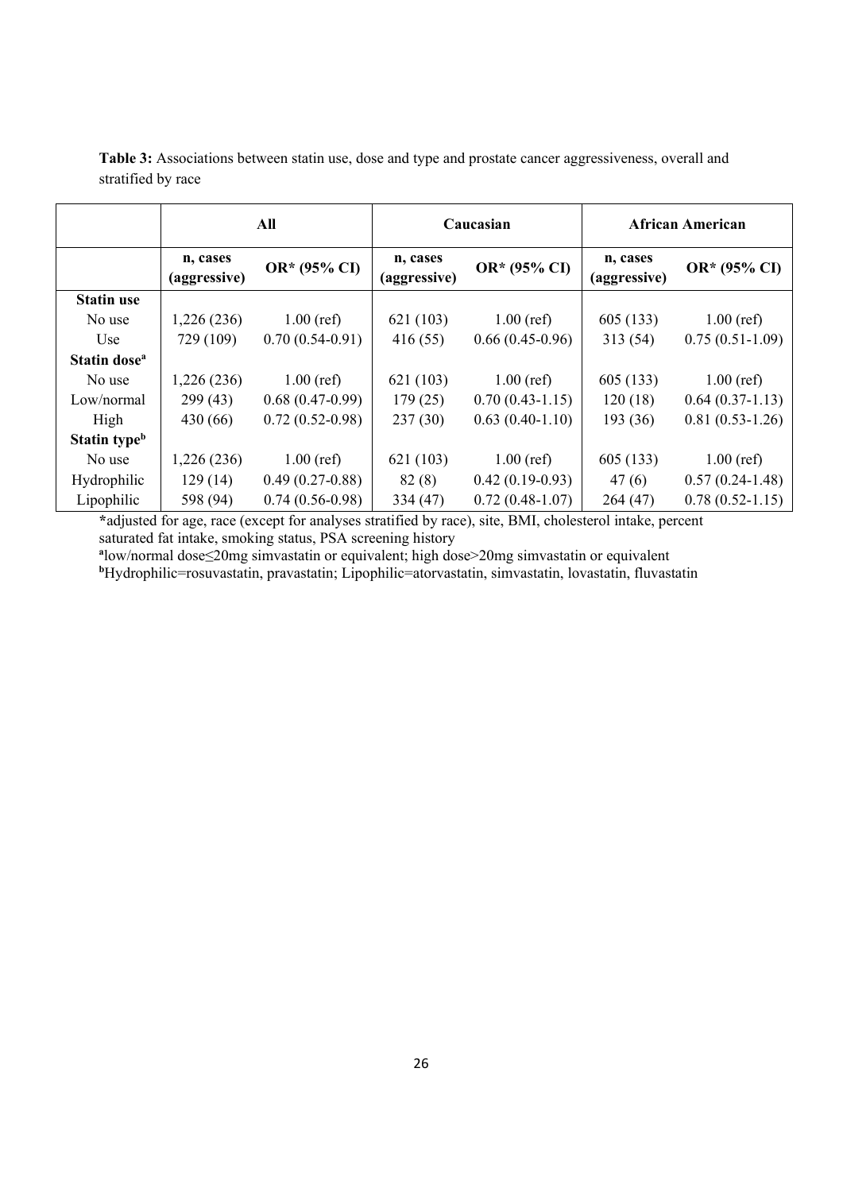|                          |                          | All               | Caucasian                |                   | <b>African American</b>  |                     |
|--------------------------|--------------------------|-------------------|--------------------------|-------------------|--------------------------|---------------------|
|                          | n, cases<br>(aggressive) | OR* (95% CI)      | n, cases<br>(aggressive) | OR* (95% CI)      | n, cases<br>(aggressive) | OR* (95% CI)        |
| <b>Statin use</b>        |                          |                   |                          |                   |                          |                     |
| No use                   | 1,226(236)               | $1.00$ (ref)      | 621 (103)                | $1.00$ (ref)      | 605 (133)                | $1.00$ (ref)        |
| Use.                     | 729 (109)                | $0.70(0.54-0.91)$ | 416(55)                  | $0.66(0.45-0.96)$ | 313(54)                  | $0.75(0.51-1.09)$   |
| Statin dose <sup>a</sup> |                          |                   |                          |                   |                          |                     |
| No use                   | 1,226 (236)              | $1.00$ (ref)      | 621(103)                 | $1.00$ (ref)      | 605(133)                 | $1.00$ (ref)        |
| Low/normal               | 299(43)                  | $0.68(0.47-0.99)$ | 179(25)                  | $0.70(0.43-1.15)$ | 120(18)                  | $0.64(0.37-1.13)$   |
| High                     | 430 (66)                 | $0.72(0.52-0.98)$ | 237(30)                  | $0.63(0.40-1.10)$ | 193 (36)                 | $0.81(0.53-1.26)$   |
| Statin type <sup>b</sup> |                          |                   |                          |                   |                          |                     |
| No use                   | 1,226(236)               | $1.00$ (ref)      | 621(103)                 | $1.00$ (ref)      | 605(133)                 | $1.00$ (ref)        |
| Hydrophilic              | 129(14)                  | $0.49(0.27-0.88)$ | 82(8)                    | $0.42(0.19-0.93)$ | 47(6)                    | $0.57(0.24-1.48)$   |
| Lipophilic               | 598 (94)                 | $0.74(0.56-0.98)$ | 334 (47)                 | $0.72(0.48-1.07)$ | 264(47)                  | $0.78(0.52 - 1.15)$ |

**Table 3:** Associations between statin use, dose and type and prostate cancer aggressiveness, overall and stratified by race

**\***adjusted for age, race (except for analyses stratified by race), site, BMI, cholesterol intake, percent saturated fat intake, smoking status, PSA screening history

<sup>a</sup>low/normal dose≤20mg simvastatin or equivalent; high dose>20mg simvastatin or equivalent<br><sup>b</sup>Hydrophilic=rosuvastatin, pravastatin; Lipophilic=atorvastatin, simvastatin, lovastatin, fluvastatin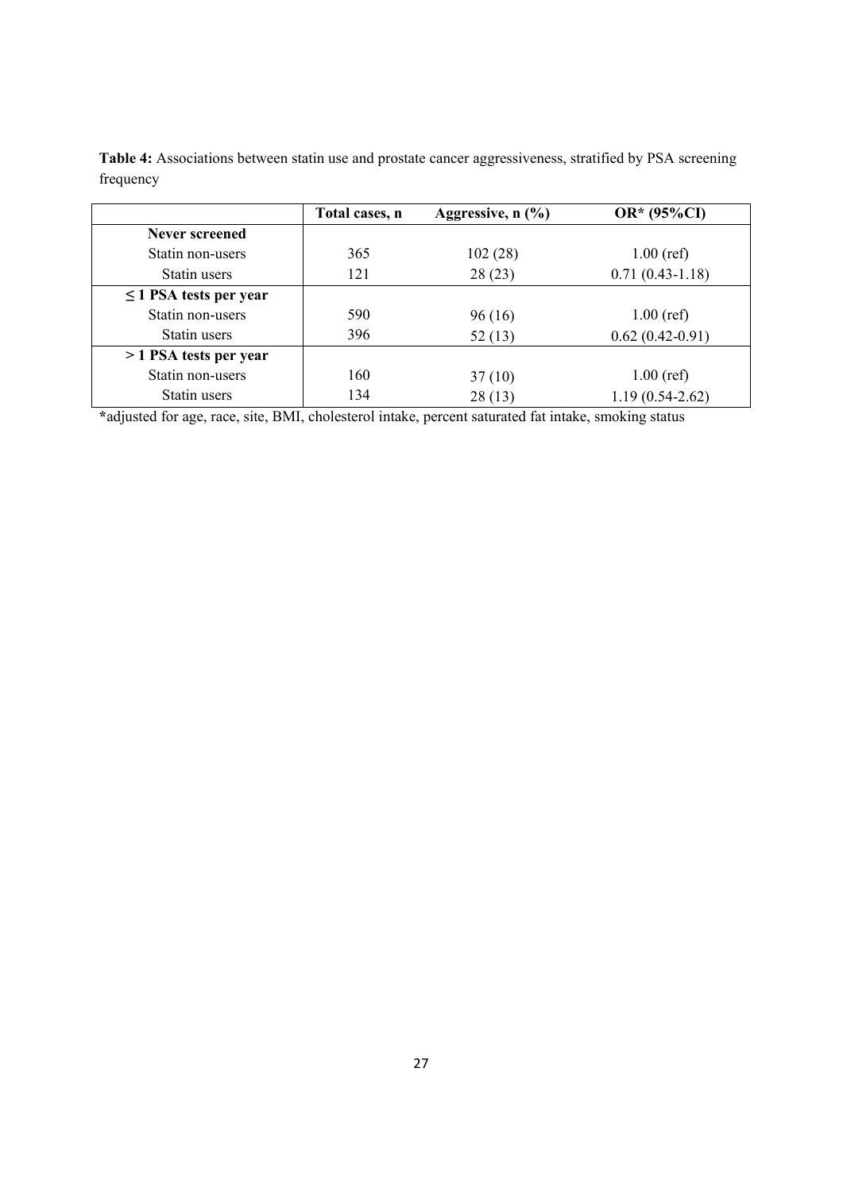|                             | Total cases, n | Aggressive, $n$ $(\frac{9}{6})$ | OR* (95%CI)       |
|-----------------------------|----------------|---------------------------------|-------------------|
| Never screened              |                |                                 |                   |
| Statin non-users            | 365            | 102(28)                         | $1.00$ (ref)      |
| Statin users                | 121            | 28(23)                          | $0.71(0.43-1.18)$ |
| $\leq$ 1 PSA tests per year |                |                                 |                   |
| Statin non-users            | 590            | 96 (16)                         | $1.00$ (ref)      |
| Statin users                | 396            | 52(13)                          | $0.62(0.42-0.91)$ |
| > 1 PSA tests per year      |                |                                 |                   |
| Statin non-users            | 160            | 37(10)                          | $1.00$ (ref)      |
| Statin users                | 134            | 28(13)                          | $1.19(0.54-2.62)$ |

**Table 4:** Associations between statin use and prostate cancer aggressiveness, stratified by PSA screening frequency

**\***adjusted for age, race, site, BMI, cholesterol intake, percent saturated fat intake, smoking status